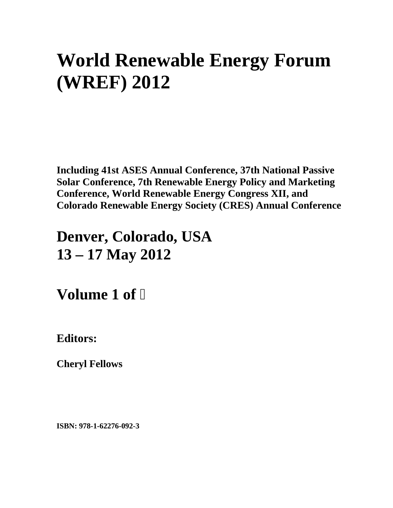# **World Renewable Energy Forum (WREF) 2012**

**Including 41st ASES Annual Conference, 37th National Passive Solar Conference, 7th Renewable Energy Policy and Marketing Conference, World Renewable Energy Congress XII, and Colorado Renewable Energy Society (CRES) Annual Conference** 

## **Denver, Colorado, USA 13 – 17 May 2012**

**Volume 1 of** 

**Editors:** 

**Cheryl Fellows** 

**ISBN: 978-1-62276-092-3**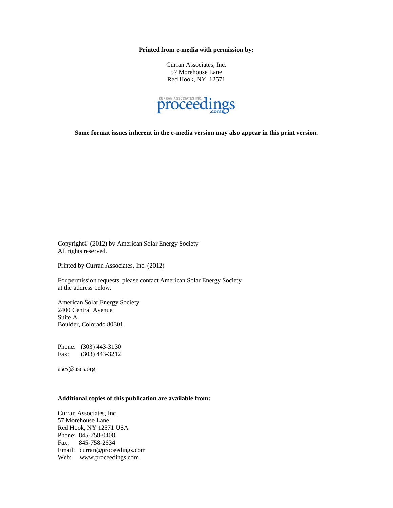**Printed from e-media with permission by:** 

Curran Associates, Inc. 57 Morehouse Lane Red Hook, NY 12571



**Some format issues inherent in the e-media version may also appear in this print version.** 

Copyright© (2012) by American Solar Energy Society All rights reserved.

Printed by Curran Associates, Inc. (2012)

For permission requests, please contact American Solar Energy Society at the address below.

American Solar Energy Society 2400 Central Avenue Suite A Boulder, Colorado 80301

Phone: (303) 443-3130 Fax: (303) 443-3212

ases@ases.org

#### **Additional copies of this publication are available from:**

Curran Associates, Inc. 57 Morehouse Lane Red Hook, NY 12571 USA Phone: 845-758-0400 Fax: 845-758-2634 Email: curran@proceedings.com Web: www.proceedings.com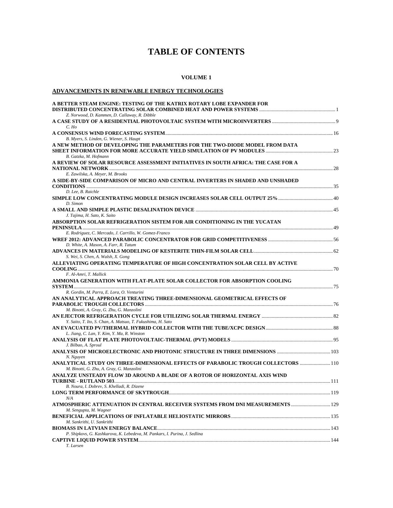### **TABLE OF CONTENTS**

#### **VOLUME 1**

#### **ADVANCEMENTS IN RENEWABLE ENERGY TECHNOLOGIES**

| A BETTER STEAM ENGINE: TESTING OF THE KATRIX ROTARY LOBE EXPANDER FOR                   |  |
|-----------------------------------------------------------------------------------------|--|
|                                                                                         |  |
| Z. Norwood, D. Kammen, D. Callaway, R. Dibble                                           |  |
|                                                                                         |  |
| $C.$ Ho                                                                                 |  |
| B. Myers, S. Linden, G. Wiener, S. Haupt                                                |  |
| A NEW METHOD OF DEVELOPING THE PARAMETERS FOR THE TWO-DIODE MODEL FROM DATA             |  |
|                                                                                         |  |
| B. Gatzka, M. Hofmann                                                                   |  |
| A REVIEW OF SOLAR RESOURCE ASSESSMENT INITIATIVES IN SOUTH AFRICA: THE CASE FOR A       |  |
|                                                                                         |  |
| E. Zawilska, A. Meyer, M. Brooks                                                        |  |
| A SIDE-BY-SIDE COMPARISON OF MICRO AND CENTRAL INVERTERS IN SHADED AND UNSHADED         |  |
|                                                                                         |  |
| D. Lee, B. Raichle                                                                      |  |
|                                                                                         |  |
| D. Simon                                                                                |  |
|                                                                                         |  |
| J. Tajima, H. Sato, K. Saito                                                            |  |
| ABSORPTION SOLAR REFRIGERATION SISTEM FOR AIR CONDITIONING IN THE YUCATAN               |  |
|                                                                                         |  |
| E. Rodriguez, C. Mercado, J. Carrillo, W. Gomez-Franco                                  |  |
| WREF 2012: ADVANCED PARABOLIC CONCENTRATOR FOR GRID COMPETITIVENESS ……………………………………………56 |  |
| D. White, A. Mason, A. Farr, R. Tatum                                                   |  |
|                                                                                         |  |
| S. Wei, S. Chen, A. Walsh, X. Gong                                                      |  |
| ALLEVIATING OPERATING TEMPERATURE OF HIGH CONCENTRATION SOLAR CELL BY ACTIVE            |  |
| F. Al-Amri, T. Mallick                                                                  |  |
| AMMONIA GENERATION WITH FLAT-PLATE SOLAR COLLECTOR FOR ABSORPTION COOLING               |  |
|                                                                                         |  |
| R. Gordin, M. Parra, E. Lora, O. Venturini                                              |  |
| AN ANALYTICAL APPROACH TREATING THREE-DIMENSIONAL GEOMETRICAL EFFECTS OF                |  |
|                                                                                         |  |
| M. Binotti, A. Gray, G. Zhu, G. Manzolini                                               |  |
|                                                                                         |  |
| Y. Saito, T. Ito, S. Chan, A. Matsuo, T. Fukushima, H. Sato                             |  |
|                                                                                         |  |
| L. Jiang, C. Lan, Y. Kim, Y. Ma, R. Winston                                             |  |
|                                                                                         |  |
| J. Bilbao, A. Sproul                                                                    |  |
|                                                                                         |  |
| N. Nguyen                                                                               |  |
| ANALYTICAL STUDY ON THREE-DIMENSIONAL EFFECTS OF PARABOLIC TROUGH COLLECTORS  110       |  |
| M. Binotti, G. Zhu, A. Gray, G. Manzolini                                               |  |
| ANALYZE UNSTEADY FLOW 3D AROUND A BLADE OF A ROTOR OF HORIZONTAL AXIS WIND              |  |
|                                                                                         |  |
| B. Noura, I. Dobrev, S. Khelladi, R. Dizene                                             |  |
| N/A                                                                                     |  |
|                                                                                         |  |
| M. Sengupta, M. Wagner                                                                  |  |
|                                                                                         |  |
| M. Sankrithi, U. Sankrithi                                                              |  |
|                                                                                         |  |
| P. Shipkovs, G. Kashkarova, K. Lebedeva, M. Pankars, I. Purina, J. Sedlina              |  |
|                                                                                         |  |
| T. Larsen                                                                               |  |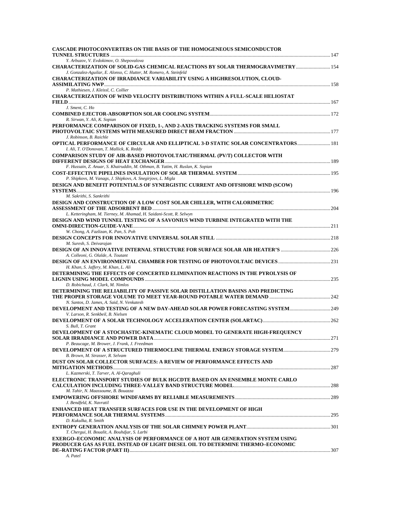| CASCADE PHOTOCONVERTERS ON THE BASIS OF THE HOMOGENEOUS SEMICONDUCTOR                                                                                                |  |
|----------------------------------------------------------------------------------------------------------------------------------------------------------------------|--|
| Y. Arbuzov, V. Evdokimov, O. Shepovalova                                                                                                                             |  |
| CHARACTERIZATION OF SOLID-GAS CHEMICAL REACTIONS BY SOLAR THERMOGRAVIMETRY  154<br>J. Gonzalez-Aguilar, E. Alonso, C. Hutter, M. Romero, A. Steinfeld                |  |
| CHARACTERIZATION OF IRRADIANCE VARIABILITY USING A HIGHRESOLUTION, CLOUD-                                                                                            |  |
| P. Mathiesen, J. Kleissl, C. Collier                                                                                                                                 |  |
| CHARACTERIZATION OF WIND VELOCITY DISTRIBUTIONS WITHIN A FULL-SCALE HELIOSTAT                                                                                        |  |
| J. Sment, C. Ho                                                                                                                                                      |  |
| R. Sirwan, Y. Ali, K. Sopian                                                                                                                                         |  |
| PERFORMANCE COMPARISON OF FIXED, 1-, AND 2-AXIS TRACKING SYSTEMS FOR SMALL<br>J. Robinson, B. Raichle                                                                |  |
| <b>OPTICAL PERFORMANCE OF CIRCULAR AND ELLIPTICAL 3-D STATIC SOLAR CONCENTRATORS 181</b><br>I. Ali, T. O'Donovan, T. Mallick, K. Reddy                               |  |
| COMPARISON STUDY OF AIR-BASED PHOTOVOLTAIC/THERMAL (PV/T) COLLECTOR WITH                                                                                             |  |
| F. Hussain, Z. Anuar, S. Khairuddin, M. Othman, B. Yatim, H. Ruslan, K. Sopian                                                                                       |  |
|                                                                                                                                                                      |  |
| P. Shipkovs, M. Vanags, J. Shipkovs, A. Snegirjovs, L. Migla                                                                                                         |  |
| DESIGN AND BENEFIT POTENTIALS OF SYNERGISTIC CURRENT AND OFFSHORE WIND (SCOW)<br>M. Sakrithi, S. Sankrithi                                                           |  |
| DESIGN AND CONSTRUCTION OF A LOW COST SOLAR CHILLER, WITH CALORIMETRIC                                                                                               |  |
| L. Ketteringham, M. Tierney, M. Ahamad, H. Saidani-Scott, R. Selwyn                                                                                                  |  |
| DESIGN AND WIND TUNNEL TESTING OF A SAVONIUS WIND TURBINE INTEGRATED WITH THE                                                                                        |  |
|                                                                                                                                                                      |  |
| W. Chong, A. Fazlizan, K. Pan, S. Poh                                                                                                                                |  |
| M. Suresh, S. Deivarajan                                                                                                                                             |  |
| A. Colleoni, G. Olalde, A. Toutant                                                                                                                                   |  |
| H. Khan, S. Jaffery, M. Khan, L. Ali                                                                                                                                 |  |
| DETERMINING THE EFFECTS OF CONCERTED ELIMINATION REACTIONS IN THE PYROLYSIS OF                                                                                       |  |
| D. Robichaud, J. Clark, M. Nimlos                                                                                                                                    |  |
| DETERMINING THE RELIABILITY OF PASSIVE SOLAR DISTILLATION BASINS AND PREDICTING                                                                                      |  |
| N. Santos, D. James, A. Said, N. Venkatesh                                                                                                                           |  |
| V. Larson, R. Senkbeil, B. Nielsen                                                                                                                                   |  |
| S. Bull, T. Grant                                                                                                                                                    |  |
| DEVELOPMENT OF A STOCHASTIC-KINEMATIC CLOUD MODEL TO GENERATE HIGH-FREQUENCY<br>P. Beaucage, M. Brower, J. Frank, J. Freedman                                        |  |
| B. Brown, M. Strasser, R. Selvam                                                                                                                                     |  |
| DUST ON SOLAR COLLECTOR SURFACES: A REVIEW OF PERFORMANCE EFFECTS AND                                                                                                |  |
| L. Kazmerski, T. Tarver, A. Al-Qaraghuli                                                                                                                             |  |
| ELECTRONIC TRANSPORT STUDIES OF BULK HGCDTE BASED ON AN ENSEMBLE MONTE CARLO                                                                                         |  |
| M. Tahir, N. Maassoume, B. Bouazza                                                                                                                                   |  |
| J. Bendfeld, K. Navratil                                                                                                                                             |  |
| <b>ENHANCED HEAT TRANSFER SURFACES FOR USE IN THE DEVELOPMENT OF HIGH</b>                                                                                            |  |
| D. Kukulka, R. Smith                                                                                                                                                 |  |
| T. Chergui, H. Boualit, A. Bouhdjar, S. Larbi                                                                                                                        |  |
| <b>EXERGO-ECONOMIC ANALYSIS OF PERFORMANCE OF A HOT AIR GENERATION SYSTEM USING</b><br>PRODUCER GAS AS FUEL INSTEAD OF LIGHT DIESEL OIL TO DETERMINE THERMO-ECONOMIC |  |
| A. Patel                                                                                                                                                             |  |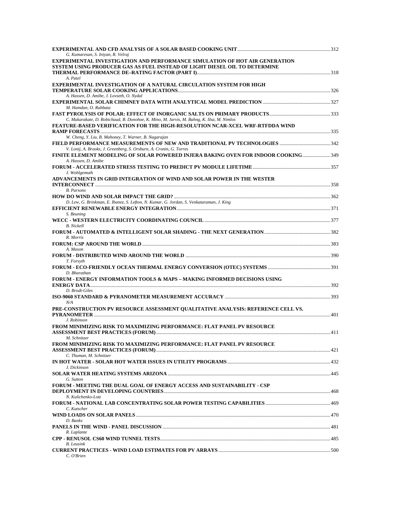| G. Kumaresan, S. Iniyan, R. Velraj                                                                                                                               |  |
|------------------------------------------------------------------------------------------------------------------------------------------------------------------|--|
| <b>EXPERIMENTAL INVESTIGATION AND PERFORMANCE SIMULATION OF HOT AIR GENERATION</b><br>SYSTEM USING PRODUCER GAS AS FUEL INSTEAD OF LIGHT DIESEL OIL TO DETERMINE |  |
| A. Patel                                                                                                                                                         |  |
| <b>EXPERIMENTAL INVESTIGATION OF A NATURAL CIRCULATION SYSTEM FOR HIGH</b><br>A. Hassen, D. Amibe, J. Lovseth, O. Nydal                                          |  |
| M. Hamdan, O. Rabbata                                                                                                                                            |  |
| C. Mukarakate, D. Robichaud, B. Donohoe, K. Mino, M. Jarvis, M. Bahng, K. IIsa, M. Nimlos                                                                        |  |
| FEATURE-BASED VERIFICATION FOR THE HIGH-RESOLUTION NCAR-XCEL WRF-RTFDDA WIND                                                                                     |  |
| W. Cheng, Y. Liu, B. Mahoney, T. Warner, B. Nagarajan<br>V. Lonij, A. Brooks, J. Greenberg, S. Orsburn, A. Cronin, G. Torres                                     |  |
| FINITE ELEMENT MODELING OF SOLAR POWERED INJERA BAKING OVEN FOR INDOOR COOKING 349<br>A. Hassen, D. Amibe                                                        |  |
| J. Wohlgemuth                                                                                                                                                    |  |
| ADVANCEMENTS IN GRID INTEGRATION OF WIND AND SOLAR POWER IN THE WESTER                                                                                           |  |
| <b>B.</b> Parsons                                                                                                                                                |  |
| D. Lew, G. Brinkman, E. Ibanez, S. Lefton, N. Kumar, G. Jordan, S. Venkataraman, J. King                                                                         |  |
| S. Beuning<br><b>B.</b> Nickell                                                                                                                                  |  |
| R. Morris                                                                                                                                                        |  |
| A. Mason                                                                                                                                                         |  |
|                                                                                                                                                                  |  |
| T. Forsyth<br>D. Bharathan                                                                                                                                       |  |
| <b>FORUM - ENERGY INFORMATION TOOLS &amp; MAPS – MAKING INFORMED DECISIONS USING</b>                                                                             |  |
| D. Brodt-Giles<br>N/A                                                                                                                                            |  |
| PRE-CONSTRUCTION PV RESOURCE ASSESSMENT QUALITATIVE ANALYSIS: REFERENCE CELL VS.                                                                                 |  |
| J. Robinson<br>FROM MINIMIZING RISK TO MAXIMIZING PERFORMANCE: FLAT PANEL PV RESOURCE                                                                            |  |
| M. Schnitzer<br>FROM MINIMIZING RISK TO MAXIMIZING PERFORMANCE: FLAT PANEL PV RESOURCE                                                                           |  |
| C. Thuman, M. Schnitzer                                                                                                                                          |  |
| J. Dickinson                                                                                                                                                     |  |
| G. Sutton                                                                                                                                                        |  |
| FORUM - MEETING THE DUAL GOAL OF ENERGY ACCESS AND SUSTAINABILITY - CSP<br>N. Kulichenko-Lotz                                                                    |  |
| C. Kutscher                                                                                                                                                      |  |
| D. Banks                                                                                                                                                         |  |
| R. Laplante                                                                                                                                                      |  |
| <b>B.</b> Leusink                                                                                                                                                |  |
| C. O'Brien                                                                                                                                                       |  |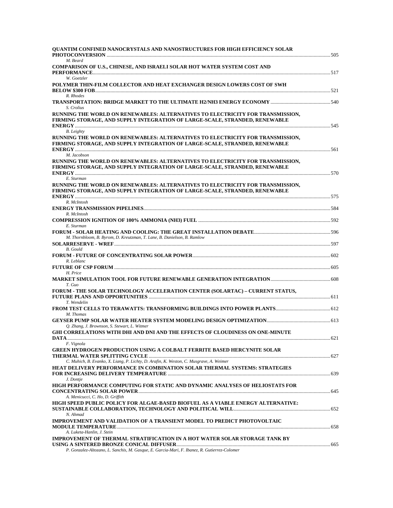| QUANTIM CONFINED NANOCRYSTALS AND NANOSTRUCTURES FOR HIGH EFFICIENCY SOLAR                                                                                                   |  |
|------------------------------------------------------------------------------------------------------------------------------------------------------------------------------|--|
| M. Beard                                                                                                                                                                     |  |
| COMPARISON OF U.S., CHINESE, AND ISRAELI SOLAR HOT WATER SYSTEM COST AND                                                                                                     |  |
| W. Goetzler<br>POLYMER THIN-FILM COLLECTOR AND HEAT EXCHANGER DESIGN LOWERS COST OF SWH                                                                                      |  |
| R. Rhodes                                                                                                                                                                    |  |
| S. Crolius                                                                                                                                                                   |  |
| RUNNING THE WORLD ON RENEWABLES: ALTERNATIVES TO ELECTRICITY FOR TRANSMISSION,<br>FIRMING STORAGE, AND SUPPLY INTEGRATION OF LARGE-SCALE, STRANDED, RENEWABLE                |  |
| <b>B.</b> Leighty                                                                                                                                                            |  |
| RUNNING THE WORLD ON RENEWABLES: ALTERNATIVES TO ELECTRICITY FOR TRANSMISSION,<br>FIRMING STORAGE, AND SUPPLY INTEGRATION OF LARGE-SCALE, STRANDED, RENEWABLE                |  |
| M. Jacobson<br>RUNNING THE WORLD ON RENEWABLES: ALTERNATIVES TO ELECTRICITY FOR TRANSMISSION,<br>FIRMING STORAGE, AND SUPPLY INTEGRATION OF LARGE-SCALE, STRANDED, RENEWABLE |  |
| E. Sturman                                                                                                                                                                   |  |
| RUNNING THE WORLD ON RENEWABLES: ALTERNATIVES TO ELECTRICITY FOR TRANSMISSION,<br>FIRMING STORAGE, AND SUPPLY INTEGRATION OF LARGE-SCALE, STRANDED, RENEWABLE                |  |
| R. McIntosh                                                                                                                                                                  |  |
| R. McIntosh                                                                                                                                                                  |  |
| E. Sturman                                                                                                                                                                   |  |
| M. Thornbloom, B. Byrom, D. Kreutzman, T. Lane, B. Danielson, B. Ramlow                                                                                                      |  |
| <b>B.</b> Gould                                                                                                                                                              |  |
| R. Leblanc<br>H. Price                                                                                                                                                       |  |
| T. Guo                                                                                                                                                                       |  |
| FORUM - THE SOLAR TECHNOLOGY ACCELERATION CENTER (SOLARTAC) - CURRENT STATUS,<br>T. Wendelin                                                                                 |  |
| M. Thomas                                                                                                                                                                    |  |
| Q. Zhang, J. Brownson, S. Stewart, L. Witmer                                                                                                                                 |  |
| GHI CORRELATIONS WITH DHI AND DNI AND THE EFFECTS OF CLOUDINESS ON ONE-MINUTE                                                                                                |  |
| F. Vignola<br><b>GREEN HYDROGEN PRODUCTION USING A COLBALT FERRITE BASED HERCYNITE SOLAR</b>                                                                                 |  |
| C. Muhich, B. Evanko, X. Liang, P. Lichty, D. Arafin, K. Weston, C. Musgrave, A. Weimer<br>HEAT DELIVERY PERFORMANCE IN COMBINATION SOLAR THERMAL SYSTEMS: STRATEGIES        |  |
| J. Dontje                                                                                                                                                                    |  |
| HIGH PERFORMANCE COMPUTING FOR STATIC AND DYNAMIC ANALYSES OF HELIOSTATS FOR<br>A. Menicucci, C. Ho, D. Griffith                                                             |  |
| HIGH SPEED PUBLIC POLICY FOR ALGAE-BASED BIOFUEL AS A VIABLE ENERGY ALTERNATIVE:<br>N. Ahmad                                                                                 |  |
| IMPROVEMENT AND VALIDATION OF A TRANSIENT MODEL TO PREDICT PHOTOVOLTAIC<br>A. Luketa-Hanlin, J. Stein                                                                        |  |
| IMPROVEMENT OF THERMAL STRATIFICATION IN A HOT WATER SOLAR STORAGE TANK BY                                                                                                   |  |
| P. Gonzalez-Altozano, L. Sanchis, M. Gasque, E. Garcia-Mari, F. Ibanez, R. Gutierrez-Colomer                                                                                 |  |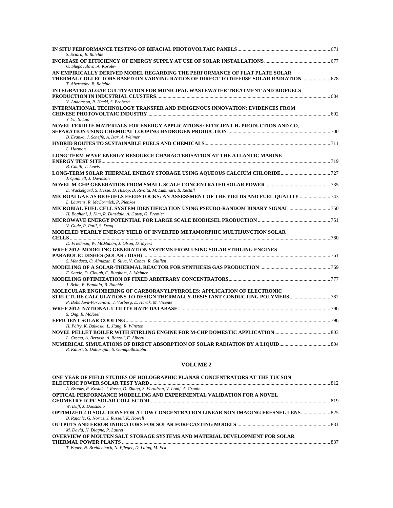| S. Sciara, B. Raichle                                                                                                                                                                              |  |
|----------------------------------------------------------------------------------------------------------------------------------------------------------------------------------------------------|--|
| O. Shepovalova, A. Korolev                                                                                                                                                                         |  |
| AN EMPIRICALLY DERIVED MODEL REGARDING THE PERFORMANCE OF FLAT PLATE SOLAR<br>678. THERMAL COLLECTORS BASED ON VARYING RATIOS OF DIRECT TO DIFFUSE SOLAR RADIATION  67<br>T. Abernethy, B. Raichle |  |
| INTEGRATED ALGAE CULTIVATION FOR MUNICIPAL WASTEWATER TREATMENT AND BIOFUELS                                                                                                                       |  |
| V. Andersson, R. Hackl, S. Broberg                                                                                                                                                                 |  |
| INTERNATIONAL TECHNOLOGY TRANSFER AND INDIGENOUS INNOVATION: EVIDENCES FROM<br>Y. Yu, S. Luo                                                                                                       |  |
| NOVEL FERRITE MATERIALS FOR ENERGY APPLICATIONS: EFFICIENT H2 PRODUCTION AND CO2                                                                                                                   |  |
| B. Evanko, J. Scheffe, A. Izar, A. Weimer                                                                                                                                                          |  |
| L. Harmon                                                                                                                                                                                          |  |
| LONG TERM WAVE ENERGY RESOURCE CHARACTERISATION AT THE ATLANTIC MARINE                                                                                                                             |  |
| B. Cahill, T. Lewis                                                                                                                                                                                |  |
| J. Quinnell, J. Davidson                                                                                                                                                                           |  |
|                                                                                                                                                                                                    |  |
| E. Wackelgard, S. Hesse, D. Hislop, B. Rivolta, M. Luminari, B. Restall<br>MICROALGAE AS BIOFUELS FEEDSTOCKS: AN ASSESSMENT OF THE YIELDS AND FUEL OUALITY<br>L. Laurens, R. McCormick, P. Pienkos |  |
| MICROBIAL FUEL CELL SYSTEM IDENTIFICATION USING PSEUDO-RANDOM BINARY SIGNAL750                                                                                                                     |  |
| H. Boghani, J. Kim, R. Dinsdale, A. Guwy, G. Premier                                                                                                                                               |  |
|                                                                                                                                                                                                    |  |
| V. Gude, P. Patil, S. Deng                                                                                                                                                                         |  |
| MODELED YEARLY ENERGY YIELD OF INVERTED METAMORPHIC MULTIJUNCTION SOLAR                                                                                                                            |  |
| D. Friedman, W. McMahon, J. Olson, D. Myers                                                                                                                                                        |  |
| WREF 2012: MODELING GENERATION SYSTEMS FROM USING SOLAR STIRLING ENGINES                                                                                                                           |  |
|                                                                                                                                                                                                    |  |
| S. Mendoza, O. Almazan, E. Silva, V. Cobas, R. Guillen                                                                                                                                             |  |
| E. Saade, D. Clough, C. Bingham, A. Weimer                                                                                                                                                         |  |
| J. Brito, E. Bandala, B. Raichle                                                                                                                                                                   |  |
| MOLECULAR ENGINEERING OF CARBORANYLPYRROLES: APPLICATION OF ELECTRONIC                                                                                                                             |  |
| P. Bobadova-Parvanova, J. Varberg, E. Harak, M. Vicente                                                                                                                                            |  |
|                                                                                                                                                                                                    |  |
| S. Ong, R. McKeel                                                                                                                                                                                  |  |
|                                                                                                                                                                                                    |  |
| H. Poiry, K. Balkoski, L. Jiang, R. Winston                                                                                                                                                        |  |
| L. Crema, A. Bertaso, A. Bozzoli, F. Alberti                                                                                                                                                       |  |
| R. Kaluri, S. Dattarajan, S. Ganapathisubbu                                                                                                                                                        |  |

| ONE YEAR OF FIELD STUDIES OF HOLOGRAPHIC PLANAR CONCENTRATORS AT THE TUCSON                |  |
|--------------------------------------------------------------------------------------------|--|
|                                                                                            |  |
| A. Brooks, R. Kostuk, J. Russo, D. Zhang, S. Verndran, V. Lonij, A. Cronin                 |  |
| OPTICAL PERFORMANCE MODELLING AND EXPERIMENTAL VALIDATION FOR A NOVEL                      |  |
|                                                                                            |  |
| W. Duff, J. Daosukho                                                                       |  |
| <b>OPTIMIZED 2-D SOLUTIONS FOR A LOW CONCENTRATION LINEAR NON-IMAGING FRESNEL LENS 825</b> |  |
| B. Raichle, G. Norris, J. Russell, K. Howell                                               |  |
|                                                                                            |  |
| M. David, H. Diagne, P. Lauret                                                             |  |
| <b>OVERVIEW OF MOLTEN SALT STORAGE SYSTEMS AND MATERIAL DEVELOPMENT FOR SOLAR</b>          |  |
|                                                                                            |  |
| T. Bauer, N. Breidenbach, N. Pfleger, D. Laing, M. Eck                                     |  |
|                                                                                            |  |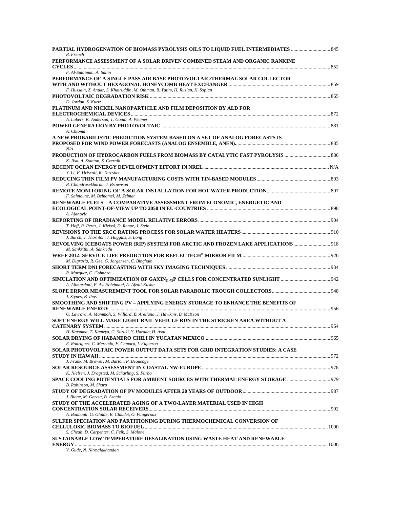| PARTIAL HYDROGENATION OF BIOMASS PYROLYSIS OILS TO LIQUID FUEL INTERMEDIATES<br>R. French                                                                    |  |
|--------------------------------------------------------------------------------------------------------------------------------------------------------------|--|
| PERFORMANCE ASSESSMENT OF A SOLAR DRIVEN COMBINED STEAM AND ORGANIC RANKINE                                                                                  |  |
| F. Al-Sulaiman, A. Sahin                                                                                                                                     |  |
| PERFORMANCE OF A SINGLE PASS AIR BASE PHOTOVOLTAIC/THERMAL SOLAR COLLECTOR<br>F. Hussain, Z. Anuar, S. Khairuddin, M. Othman, B. Yatim, H. Ruslan, K. Sopian |  |
| D. Jordan, S. Kurtz                                                                                                                                          |  |
| PLATINUM AND NICKEL NANOPARTICLE AND FILM DEPOSITION BY ALD FOR                                                                                              |  |
| A. Lubers, K. Anderson, T. Gould, A. Weimer                                                                                                                  |  |
| A. Chioma                                                                                                                                                    |  |
| A NEW PROBABILISTIC PREDICTION SYSTEM BASED ON A SET OF ANALOG FORECASTS IS<br>N/A                                                                           |  |
| K. IIsa, A. Stanton, S. Czernik                                                                                                                              |  |
| Y. Li, F. Driscoll, R. Thresher                                                                                                                              |  |
| R. Chandrasekharan, J. Brownson                                                                                                                              |  |
| F. Sahnoune, M. Belhamel, M. Zelmat                                                                                                                          |  |
| <b>RENEWABLE FUELS – A COMPARATIVE ASSESSMENT FROM ECONOMIC, ENERGETIC AND</b>                                                                               |  |
| A. Ajanovic                                                                                                                                                  |  |
| T. Hoff, R. Perez, J. Kleissl, D. Renne, J. Stein                                                                                                            |  |
| J. Burch, J. Thornton, J. Huggins, S. Long                                                                                                                   |  |
| REVOLVING ICEBOATS POWER (RIP) SYSTEM FOR ARCTIC AND FROZEN LAKE APPLICATIONS  918<br>M. Sankrithi, A. Sankrithi                                             |  |
| M. Digrazia, R. Gee, G. Jorgensen, C. Bingham                                                                                                                |  |
| R. Marquez, C. Coimbra                                                                                                                                       |  |
| A. Alimardani, E. Asl-Soleimani, A. Afzali-Kusha                                                                                                             |  |
| J. Stynes, B. Ihas                                                                                                                                           |  |
| SMOOTHING AND SHIFTING PV – APPLYING ENERGY STORAGE TO ENHANCE THE BENEFITS OF                                                                               |  |
| O. Lavrova, A. Mammoli, S. Willard, B. Arellano, J. Hawkins, B. McKeon                                                                                       |  |
| SOFT ENERGY WILL MAKE LIGHT RAIL VEHICLE RUN IN THE STRICKEN AREA WITHOUT A                                                                                  |  |
| H. Katsuma, T. Kameya, G. Suzuki, Y. Harada, H. Asai                                                                                                         |  |
| E. Rodriguez, C. Mercado, F. Camara, I. Figueroa<br>SOLAR PHOTOVOLTAIC POWER OUTPUT DATA SETS FOR GRID INTEGRATION STUDIES: A CASE                           |  |
| J. Frank, M. Brower, M. Barton, P. Beaucage                                                                                                                  |  |
| K. Nielsen, J. Dragsted, M. Scharling, S. Furbo                                                                                                              |  |
| B. Robinson, M. Sharp                                                                                                                                        |  |
| J. Bione, M. Garcia, B. Asenjo                                                                                                                               |  |
| STUDY OF THE ACCELERATED AGING OF A TWO-LAYER MATERIAL USED IN HIGH                                                                                          |  |
| A. Boubault, G. Olalde, B. Claudet, O. Faugeroux                                                                                                             |  |
| SULFER SPECIATION AND PARTITIONING DURING THERMOCHEMICAL CONVERSION OF                                                                                       |  |
| S. Cheah, D. Carpenter, C. Feik, S. Malone                                                                                                                   |  |
| SUSTAINABLE LOW TEMPERATURE DESALINATION USING WASTE HEAT AND RENEWABLE                                                                                      |  |
| V. Gude, N. Nirmalakhandan                                                                                                                                   |  |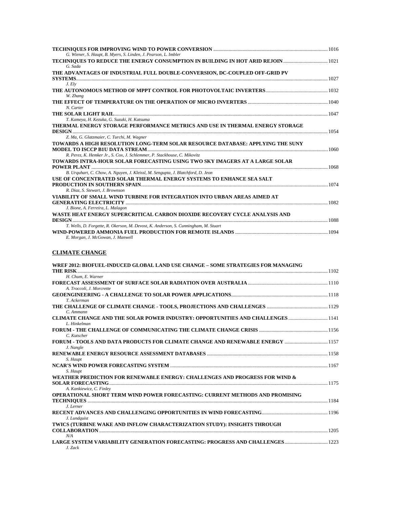| G. Wiener, S. Haupt, B. Myers, S. Linden, J. Pearson, L. Imbler                               |      |
|-----------------------------------------------------------------------------------------------|------|
|                                                                                               |      |
| TECHNIQUES TO REDUCE THE ENERGY CONSUMPTION IN BUILDING IN HOT ARID REJOIN                    |      |
| G. Sada                                                                                       |      |
| THE ADVANTAGES OF INDUSTRIAL FULL DOUBLE-CONVERSION, DC-COUPLED OFF-GRID PV<br><b>SYSTEMS</b> |      |
| J. Elv                                                                                        |      |
|                                                                                               |      |
| W. Zhang                                                                                      |      |
|                                                                                               |      |
| N. Carter                                                                                     |      |
|                                                                                               |      |
| T. Kameya, H. Kezuka, G. Suzuki, H. Katsuma                                                   |      |
| THERMAL ENERGY STORAGE PERFORMANCE METRICS AND USE IN THERMAL ENERGY STORAGE                  |      |
| 1054                                                                                          |      |
| Z. Ma, G. Glatzmaier, C. Turchi, M. Wagner                                                    |      |
| TOWARDS A HIGH RESOLUTION LONG-TERM SOLAR RESOURCE DATABASE: APPLYING THE SUNY                |      |
| <b>MODEL TO ISCCP B1U DATA STREAM.</b>                                                        | 1060 |
| R. Perez, K. Hemker Jr., S. Cox, J. Schlemmer, P. Stackhouse, C. Mikovitz                     |      |
| TOWARDS INTRA-HOUR SOLAR FORECASTING USING TWO SKY IMAGERS AT A LARGE SOLAR                   |      |
|                                                                                               |      |
| B. Urguhart, C. Chow, A. Nguyen, J. Kleissl, M. Sengupta, J. Blatchford, D. Jeon              |      |
| USE OF CONCENTRATED SOLAR THERMAL ENERGY SYSTEMS TO ENHANCE SEA SALT                          |      |
|                                                                                               |      |
| R. Diaz, S. Stewart, J. Brownson                                                              |      |
| VIABILITY OF SMALL WIND TURBINE FOR INTEGRATION INTO URBAN AREAS AIMED AT                     |      |
|                                                                                               |      |
| J. Bione, A. Ferreira, L. Malagon                                                             |      |
| WASTE HEAT ENERGY SUPERCRITICAL CARBON DIOXIDE RECOVERY CYCLE ANALYSIS AND                    |      |
| T. Wells, D. Forgette, R. Okerson, M. Devost, K. Anderson, S. Cunningham, M. Stuart           |      |
|                                                                                               |      |
| E. Morgan, J. McGowan, J. Manwell                                                             |      |
|                                                                                               |      |

#### **CLIMATE CHANGE**

| WREF 2012: BIOFUEL-INDUCED GLOBAL LAND USE CHANGE – SOME STRATEGIES FOR MANAGING |  |
|----------------------------------------------------------------------------------|--|
| THE RISK                                                                         |  |
| H. Chum. E. Warner                                                               |  |
|                                                                                  |  |
| A. Troccoli, J. Morcrette                                                        |  |
|                                                                                  |  |
| T. Ackerman                                                                      |  |
|                                                                                  |  |
| C. Ammann                                                                        |  |
|                                                                                  |  |
| L. Hinkelman                                                                     |  |
|                                                                                  |  |
| C. Kutscher                                                                      |  |
|                                                                                  |  |
| J. Nangle                                                                        |  |
| S. Haupt                                                                         |  |
|                                                                                  |  |
| S. Haupt                                                                         |  |
| WEATHER PREDICTION FOR RENEWABLE ENERGY: CHALLENGES AND PROGRESS FOR WIND &      |  |
|                                                                                  |  |
| A. Kankiewicz, C. Finley                                                         |  |
| OPERATIONAL SHORT TERM WIND POWER FORECASTING: CURRENT METHODS AND PROMISING     |  |
|                                                                                  |  |
| J. Lerner                                                                        |  |
|                                                                                  |  |
| J. Lundquist                                                                     |  |
| TWICS (TURBINE WAKE AND INFLOW CHARACTERIZATION STUDY): INSIGHTS THROUGH         |  |
|                                                                                  |  |
| N/A                                                                              |  |
|                                                                                  |  |
| J. Zack                                                                          |  |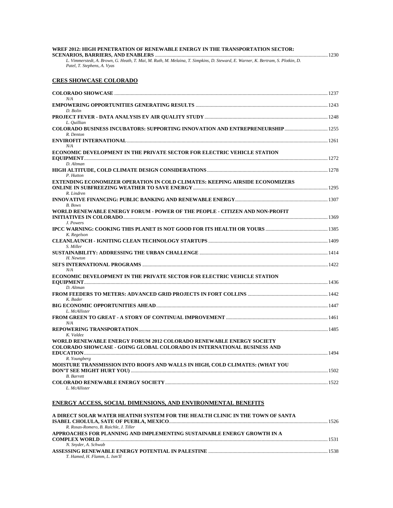| WREF 2012: HIGH PENETRATION OF RENEWABLE ENERGY IN THE TRANSPORTATION SECTOR:                                                                                  |      |
|----------------------------------------------------------------------------------------------------------------------------------------------------------------|------|
|                                                                                                                                                                | 1230 |
| L. Vimmerstedt, A. Brown, G. Heath, T. Mai, M. Ruth, M. Melaina, T. Simpkins, D. Steward, E. Warner, K. Bertram, S. Plotkin, D.<br>Patel, T. Stephens, A. Vyas |      |

#### **CRES SHOWCASE COLORADO**

| N/A                                                                                                                                            |  |
|------------------------------------------------------------------------------------------------------------------------------------------------|--|
| D. Bolin                                                                                                                                       |  |
| L. Quillian                                                                                                                                    |  |
| R. Denton                                                                                                                                      |  |
|                                                                                                                                                |  |
| N/A                                                                                                                                            |  |
| ECONOMIC DEVELOPMENT IN THE PRIVATE SECTOR FOR ELECTRIC VEHICLE STATION<br>D. Altman                                                           |  |
| P. Hutton                                                                                                                                      |  |
| EXTENDING ECONOMIZER OPERATION IN COLD CLIMATES: KEEPING AIRSIDE ECONOMIZERS                                                                   |  |
| R. Lindren<br>B. Bows                                                                                                                          |  |
| WORLD RENEWABLE ENERGY FORUM - POWER OF THE PEOPLE - CITIZEN AND NON-PROFIT                                                                    |  |
| J. Powers<br>K. Regelson                                                                                                                       |  |
| S. Miller                                                                                                                                      |  |
|                                                                                                                                                |  |
| H. Newton                                                                                                                                      |  |
|                                                                                                                                                |  |
| N/A<br>ECONOMIC DEVELOPMENT IN THE PRIVATE SECTOR FOR ELECTRIC VEHICLE STATION                                                                 |  |
| D. Altman                                                                                                                                      |  |
|                                                                                                                                                |  |
| K. Bader                                                                                                                                       |  |
| L. McAllister                                                                                                                                  |  |
| N/A                                                                                                                                            |  |
| K. Valdez                                                                                                                                      |  |
| WORLD RENEWABLE ENERGY FORUM 2012 COLORADO RENEWABLE ENERGY SOCIETY<br>COLORADO SHOWCASE - GOING GLOBAL COLORADO IN INTERNATIONAL BUSINESS AND |  |
| R. Youngberg<br>MOISTURE TRANSMISSION INTO ROOFS AND WALLS IN HIGH, COLD CLIMATES: (WHAT YOU                                                   |  |
| <b>B.</b> Barrett                                                                                                                              |  |
| L. McAllister                                                                                                                                  |  |

#### **ENERGY ACCESS, SOCIAL DIMENSIONS, AND ENVIRONMENTAL BENEFITS**

| A DIRECT SOLAR WATER HEATINH SYSTEM FOR THE HEALTH CLINIC IN THE TOWN OF SANTA |      |
|--------------------------------------------------------------------------------|------|
|                                                                                | 1526 |
| R. Rosas-Romero, B. Raichle, J. Tiller                                         |      |
| APPROACHES FOR PLANNING AND IMPLEMENTING SUSTAINABLE ENERGY GROWTH IN A        |      |
|                                                                                | 1531 |
| N. Snyder, A. Schwab                                                           |      |
|                                                                                |      |
| T. Hamed, H. Flamm, L. Ism'Il                                                  |      |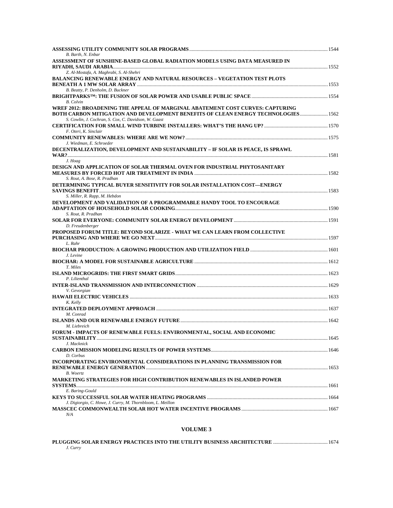| B. Barth, N. Enbar                                                                   |  |
|--------------------------------------------------------------------------------------|--|
| ASSESSMENT OF SUNSHINE-BASED GLOBAL RADIATION MODELS USING DATA MEASURED IN          |  |
|                                                                                      |  |
| Z. Al-Mostafa, A. Maghrabi, S. Al-Shehri                                             |  |
| <b>BALANCING RENEWABLE ENERGY AND NATURAL RESOURCES - VEGETATION TEST PLOTS</b>      |  |
| B. Beatty, P. Denholm, D. Buckner                                                    |  |
|                                                                                      |  |
| <b>B.</b> Colvin                                                                     |  |
| WREF 2012: BROADENING THE APPEAL OF MARGINAL ABATEMENT COST CURVES: CAPTURING        |  |
| BOTH CARBON MITIGATION AND DEVELOPMENT BENEFITS OF CLEAN ENERGY TECHNOLOGIES 1562    |  |
| S. Cowlin, J. Cochran, S. Cox, C. Davidson, W. Gaast                                 |  |
| F. Oteri, K. Sinclair                                                                |  |
|                                                                                      |  |
| J. Wiedman, E. Schroeder                                                             |  |
| DECENTRALIZATION, DEVELOPMENT AND SUSTAINABILITY – IF SOLAR IS PEACE, IS SPRAWL      |  |
|                                                                                      |  |
| J. Hoag                                                                              |  |
| DESIGN AND APPLICATION OF SOLAR THERMAL OVEN FOR INDUSTRIAL PHYTOSANITARY            |  |
| S. Rout, A. Bose, R. Pradhan                                                         |  |
| DETERMINING TYPICAL BUYER SENSITIVITY FOR SOLAR INSTALLATION COST—ENERGY             |  |
|                                                                                      |  |
| S. Miller, R. Rapp, M. Hebdon                                                        |  |
| DEVELOPMENT AND VALIDATION OF A PROGRAMMABLE HANDY TOOL TO ENCOURAGE                 |  |
| S. Rout, R. Pradhan                                                                  |  |
|                                                                                      |  |
| D. Freudenberger                                                                     |  |
| PROPOSED FORUM TITLE: BEYOND SOLARIZE - WHAT WE CAN LEARN FROM COLLECTIVE            |  |
|                                                                                      |  |
| L. Rahr                                                                              |  |
| J. Levine                                                                            |  |
|                                                                                      |  |
| T. Miles                                                                             |  |
|                                                                                      |  |
| P. Lilienthal                                                                        |  |
| V. Gevorgian                                                                         |  |
|                                                                                      |  |
| K. Kelly                                                                             |  |
|                                                                                      |  |
| M. Conrad                                                                            |  |
| M. Liebreich                                                                         |  |
| FORUM - IMPACTS OF RENEWABLE FUELS: ENVIRONMENTAL. SOCIAL AND ECONOMIC               |  |
|                                                                                      |  |
| J. Macknick                                                                          |  |
|                                                                                      |  |
| D. Corbus<br>INCORPORATING ENVIRONMENTAL CONSIDERATIONS IN PLANNING TRANSMISSION FOR |  |
|                                                                                      |  |
| B. Woertz                                                                            |  |
| <b>MARKETING STRATEGIES FOR HIGH CONTRIBUTION RENEWABLES IN ISLANDED POWER</b>       |  |
|                                                                                      |  |
| E. Baring-Gould                                                                      |  |
| J. Digiorgio, C. Howe, J. Curry, M. Thornbloom, L. Meillon                           |  |
|                                                                                      |  |
| N/A                                                                                  |  |

| 1674 PLUGGING SOLAR ENERGY PRACTICES INTO THE UTILITY BUSINESS ARCHITECTURE …………………………………………… |  |
|-----------------------------------------------------------------------------------------------|--|
| J. Curry                                                                                      |  |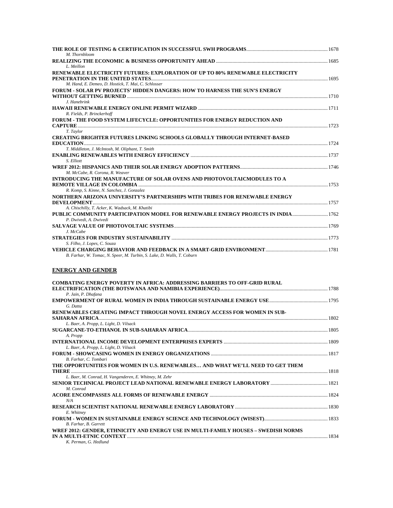| M. Thornbloom                                                                     |  |
|-----------------------------------------------------------------------------------|--|
|                                                                                   |  |
| L. Meillon                                                                        |  |
| RENEWABLE ELECTRICITY FUTURES: EXPLORATION OF UP TO 80% RENEWABLE ELECTRICITY     |  |
|                                                                                   |  |
| M. Hand, E. Demeo, D. Hostick, T. Mai, C. Schlosser                               |  |
| <b>FORUM - SOLAR PV PROJECTS' HIDDEN DANGERS: HOW TO HARNESS THE SUN'S ENERGY</b> |  |
| J. Hanebrink                                                                      |  |
|                                                                                   |  |
| R. Fields, P. Brinckerhoff                                                        |  |
| <b>FORUM - THE FOOD SYSTEM LIFECYCLE: OPPORTUNITIES FOR ENERGY REDUCTION AND</b>  |  |
|                                                                                   |  |
| T. Taylor                                                                         |  |
| <b>CREATING BRIGHTER FUTURES LINKING SCHOOLS GLOBALLY THROUGH INTERNET-BASED</b>  |  |
|                                                                                   |  |
| T. Middleton, J. McIntosh, M. Oliphant, T. Smith                                  |  |
| S. Elliott                                                                        |  |
|                                                                                   |  |
| M. McCabe, R. Corona, R. Weaver                                                   |  |
| INTRODUCING THE MANUFACTURE OF SOLAR OVENS AND PHOTOVOLTAICMODULES TO A           |  |
|                                                                                   |  |
| R. Komp, S. Kinne, N. Sanchez, J. Gonzalez                                        |  |
| NORTHERN ARIZONA UNIVERSITY'S PARTNERSHIPS WITH TRIBES FOR RENEWABLE ENERGY       |  |
| A. Chischilly, T. Acker, K. Wadsack, M. Khatibi                                   |  |
| PUBLIC COMMUNITY PARTICIPATION MODEL FOR RENEWABLE ENERGY PROJECTS IN INDIA       |  |
| P. Dwivedi, A. Dwivedi                                                            |  |
|                                                                                   |  |
| J. McCabe                                                                         |  |
|                                                                                   |  |
| S. Filho, J. Lopes, C. Souza                                                      |  |
|                                                                                   |  |
| B. Farhar, W. Tomac, N. Speer, M. Turbin, S. Lake, D. Walls, T. Coburn            |  |
|                                                                                   |  |

#### **ENERGY AND GENDER**

| <b>COMBATING ENERGY POVERTY IN AFRICA: ADDRESSING BARRIERS TO OFF-GRID RURAL</b>   |  |
|------------------------------------------------------------------------------------|--|
|                                                                                    |  |
| P. Jain, P. Dhafana                                                                |  |
|                                                                                    |  |
| G. Datta                                                                           |  |
| RENEWABLES CREATING IMPACT THROUGH NOVEL ENERGY ACCESS FOR WOMEN IN SUB-           |  |
|                                                                                    |  |
| L. Baer, A. Propp, L. Light, D. Vilsack                                            |  |
|                                                                                    |  |
| A. Propp                                                                           |  |
|                                                                                    |  |
| L. Baer, A. Propp, L. Light, D. Vilsack                                            |  |
|                                                                                    |  |
| B. Farhar, C. Tombari                                                              |  |
| THE OPPORTUNITIES FOR WOMEN IN U.S. RENEWABLES AND WHAT WE'LL NEED TO GET THEM     |  |
|                                                                                    |  |
| L. Baer, M. Conrad, H. Vangenderen, E. Whitney, M. Zehr                            |  |
|                                                                                    |  |
| M. Conrad                                                                          |  |
|                                                                                    |  |
| N/A                                                                                |  |
|                                                                                    |  |
| E. Whitney                                                                         |  |
|                                                                                    |  |
| B. Farhar, B. Garrett                                                              |  |
| WREF 2012: GENDER, ETHNICITY AND ENERGY USE IN MULTI-FAMILY HOUSES – SWEDISH NORMS |  |
|                                                                                    |  |
| K. Perman, G. Hedlund                                                              |  |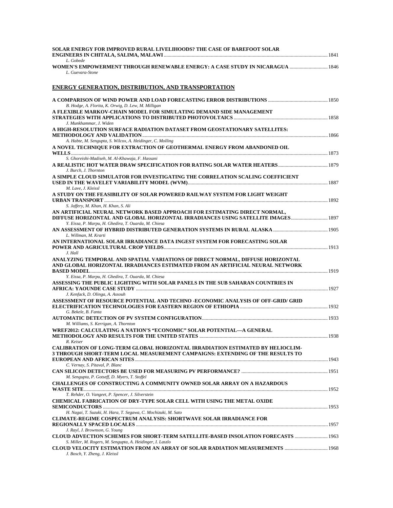| SOLAR ENERGY FOR IMPROVED RURAL LIVELIHOODS? THE CASE OF BAREFOOT SOLAR<br>L. Gobede                                                                                                                                                                                                                                                                                       |  |
|----------------------------------------------------------------------------------------------------------------------------------------------------------------------------------------------------------------------------------------------------------------------------------------------------------------------------------------------------------------------------|--|
| WOMEN'S EMPOWERMENT THROUGH RENEWABLE ENERGY: A CASE STUDY IN NICARAGUA  1846<br>L. Guevara-Stone                                                                                                                                                                                                                                                                          |  |
| <b>ENERGY GENERATION, DISTRIBUTION, AND TRANSPORTATION</b>                                                                                                                                                                                                                                                                                                                 |  |
| B. Hodge, A. Florita, K. Orwig, D. Lew, M. Milligan                                                                                                                                                                                                                                                                                                                        |  |
| A FLEXIBLE MARKOV-CHAIN MODEL FOR SIMULATING DEMAND SIDE MANAGEMENT<br>J. Munkhammar, J. Widen                                                                                                                                                                                                                                                                             |  |
| A HIGH-RESOLUTION SURFACE RADIATION DATASET FROM GEOSTATIONARY SATELLITES:                                                                                                                                                                                                                                                                                                 |  |
| A. Habte, M. Sengupta, S. Wilcox, A. Heidinger, C. Molling<br>A NOVEL TECHNIQUE FOR EXTRACTION OF GEOTHERMAL ENERGY FROM ABANDONED OIL                                                                                                                                                                                                                                     |  |
| S. Ghoreishi-Madiseh, M. Al-Khawaja, F. Hassani<br>J. Burch. J. Thornton                                                                                                                                                                                                                                                                                                   |  |
| A SIMPLE CLOUD SIMULATOR FOR INVESTIGATING THE CORRELATION SCALING COEFFICIENT<br>M. Lave. J. Kleissl                                                                                                                                                                                                                                                                      |  |
| A STUDY ON THE FEASIBILITY OF SOLAR POWERED RAILWAY SYSTEM FOR LIGHT WEIGHT                                                                                                                                                                                                                                                                                                |  |
| S. Jaffery, M. Khan, H. Khan, S. Ali<br>AN ARTIFICIAL NEURAL NETWORK BASED APPROACH FOR ESTIMATING DIRECT NORMAL,<br>1897 DIFFUSE HORIZONTAL AND GLOBAL HORIZONTAL IRRADIANCES USING SATELLITE IMAGES 1897<br>Y. Eissa, P. Marpu, H. Ghedira, T. Ouarda, M. Chiesa                                                                                                         |  |
| L. Willman, M. Krarti                                                                                                                                                                                                                                                                                                                                                      |  |
| AN INTERNATIONAL SOLAR IRRADIANCE DATA INGEST SYSTEM FOR FORECASTING SOLAR<br>J. Hall                                                                                                                                                                                                                                                                                      |  |
| ANALYZING TEMPORAL AND SPATIAL VARIATIONS OF DIRECT NORMAL, DIFFUSE HORIZONTAL<br>AND GLOBAL HORIZONTAL IRRADIANCES ESTIMATED FROM AN ARTIFICIAL NEURAL NETWORK                                                                                                                                                                                                            |  |
| Y. Eissa, P. Marpu, H. Ghedira, T. Ouarda, M. Chiesa<br>ASSESSING THE PUBLIC LIGHTING WITH SOLAR PANELS IN THE SUB SAHARAN COUNTRIES IN                                                                                                                                                                                                                                    |  |
| J. Kenfack, D. Olinga, A. Assouh<br>ASSESSMENT OF RESOURCE POTENTIAL AND TECHNO -ECONOMIC ANALYSIS OF OFF-GRID/ GRID<br>G. Bekele, B. Fanta                                                                                                                                                                                                                                |  |
| M. Williams, S. Kerrigan, A. Thornton                                                                                                                                                                                                                                                                                                                                      |  |
| WREF2012: CALCULATING A NATION'S "ECONOMIC" SOLAR POTENTIAL—A GENERAL<br>R. Keiser                                                                                                                                                                                                                                                                                         |  |
| CALIBRATION OF LONG-TERM GLOBAL HORIZONTAL IRRADIATION ESTIMATED BY HELIOCLIM-<br>3 THROUGH SHORT-TERM LOCAL MEASUREMENT CAMPAIGNS: EXTENDING OF THE RESULTS TO                                                                                                                                                                                                            |  |
| C. Vernay, S. Pitaval, P. Blanc<br>M. Sengupta, P. Gotseff, D. Myers, T. Stoffel                                                                                                                                                                                                                                                                                           |  |
| <b>CHALLENGES OF CONSTRUCTING A COMMUNITY OWNED SOLAR ARRAY ON A HAZARDOUS</b><br><b>WASTE SITE</b> [1952] [1952] [1952] [1952] [1972] [1972] [1972] [1972] [1972] [1972] [1972] [1972] [1972] [1972] [1972] [1972] [1972] [1972] [1972] [1972] [1972] [1972] [1972] [1972] [1972] [1972] [1972] [1972] [1972] [1972]<br>T. Rehder, O. Vangeet, P. Spencer, J. Silverstein |  |
| CHEMICAL FABRICATION OF DRY-TYPE SOLAR CELL WITH USING THE METAL OXIDE                                                                                                                                                                                                                                                                                                     |  |
| H. Nagai, T. Suzuki, H. Hara, T. Segawa, C. Mochizuki, M. Sato<br>CLIMATE-REGIME COSPECTRUM ANALYSIS: SHORTWAVE SOLAR IRRADIANCE FOR                                                                                                                                                                                                                                       |  |
| J. Rayl, J. Brownson, G. Young<br><b>CLOUD ADVECTION SCHEMES FOR SHORT-TERM SATELLITE-BASED INSOLATION FORECASTS  1963</b><br>S. Miller, M. Rogers, M. Sengupta, A. Heidinger, I. Laszlo                                                                                                                                                                                   |  |
| J. Bosch, Y. Zheng, J. Kleissl                                                                                                                                                                                                                                                                                                                                             |  |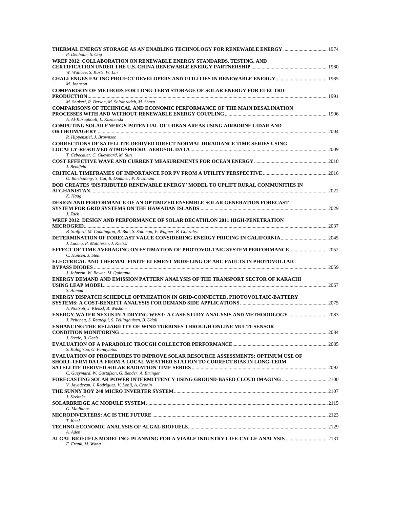| 1974 - THERMAL ENERGY STORAGE AS AN ENABLING TECHNOLOGY FOR RENEWABLE ENERGY<br>P. Denholm, S. Ong                                  |      |
|-------------------------------------------------------------------------------------------------------------------------------------|------|
| WREF 2012: COLLABORATION ON RENEWABLE ENERGY STANDARDS, TESTING, AND                                                                |      |
|                                                                                                                                     |      |
| W. Wallace, S. Kurtz, W. Lin                                                                                                        |      |
| M. Johnson                                                                                                                          |      |
| <b>COMPARISON OF METHODS FOR LONG-TERM STORAGE OF SOLAR ENERGY FOR ELECTRIC</b>                                                     |      |
|                                                                                                                                     |      |
| M. Shakeri, R. Berson, M. Soltanzadeh, M. Sharp                                                                                     |      |
| COMPARISONS OF TECHNICAL AND ECONOMIC PERFORMANCE OF THE MAIN DESALINATION                                                          |      |
| A. Al-Karaghouli, L. Kazmerski                                                                                                      |      |
| COMPUTING SOLAR ENERGY POTENTIAL OF URBAN AREAS USING AIRBORNE LIDAR AND                                                            |      |
|                                                                                                                                     |      |
| R. Hippenstiel, J. Brownson<br>CORRECTIONS OF SATELLITE-DERIVED DIRECT NORMAL IRRADIANCE TIME SERIES USING                          |      |
|                                                                                                                                     |      |
| T. Cebecauer, C. Gueymard, M. Suri                                                                                                  |      |
|                                                                                                                                     |      |
| J. Bendfeld                                                                                                                         |      |
| O. Bartholomy, Y. Cai, B. Dommer, P. Krishnani                                                                                      |      |
| DOD CREATES 'DISTRIBUTED RENEWABLE ENERGY' MODEL TO UPLIFT RURAL COMMUNITIES IN                                                     |      |
|                                                                                                                                     |      |
| K. Haag                                                                                                                             |      |
| DESIGN AND PERFORMANCE OF AN OPTIMIZED ENSEMBLE SOLAR GENERATION FORECAST                                                           |      |
| J. Zack                                                                                                                             |      |
| WREF 2012: DESIGN AND PERFORMANCE OF SOLAR DECATHLON 2011 HIGH-PENETRATION                                                          |      |
|                                                                                                                                     |      |
| B. Stafford, M. Coddington, R. Butt, S. Solomon, V. Wagner, B. Gonzalez                                                             |      |
|                                                                                                                                     |      |
| J. Luoma, P. Mathiesen, J. Kleissl<br>EFFECT OF TIME AVERAGING ON ESTIMATION OF PHOTOVOLTAIC SYSTEM PERFORMANCE 2052                |      |
| C. Hansen, J. Stein                                                                                                                 |      |
| ELECTRICAL AND THERMAL FINITE ELEMENT MODELING OF ARC FAULTS IN PHOTOVOLTAIC                                                        |      |
|                                                                                                                                     |      |
| J. Johnson, W. Bower, M. Quintana                                                                                                   |      |
| ENERGY DEMAND AND EMISSION PATTERN ANALYSIS OF THE TRANSPORT SECTOR OF KARACHI                                                      |      |
| S. Ahmad                                                                                                                            |      |
| ENERGY DISPATCH SCHEDULE OPTMIZATION IN GRID-CONNECTED, PHOTOVOLTAIC-BATTERY                                                        |      |
|                                                                                                                                     |      |
| A. Nottrott, J. Kleissl, B. Washom                                                                                                  |      |
| ENERGY-WATER NEXUS IN A DRYING WEST: A CASE STUDY ANALYSIS AND METHODOLOGY<br>J. Pritchett, S. Reategui, S. Tellinghuisen, B. Udall |      |
| ENHANCING THE RELIABILITY OF WIND TURBINES THROUGH ONLINE MULTI-SENSOR                                                              |      |
| <b>CONDITION MONITORING</b>                                                                                                         | 2084 |
| J. Steele, B. Geels                                                                                                                 |      |
| S. Kalogirou, G. Panayiotou                                                                                                         |      |
| <b>EVALUATION OF PROCEDURES TO IMPROVE SOLAR RESOURCE ASSESSMENTS: OPTIMUM USE OF</b>                                               |      |
| SHORT-TERM DATA FROM A LOCAL WEATHER STATION TO CORRECT BIAS IN LONG-TERM                                                           |      |
|                                                                                                                                     |      |
| C. Gueymard, W. Gustafson, G. Bender, A. Etringer                                                                                   |      |
| V. Jayadevan, J. Rodriguez, V. Lonij, A. Cronin                                                                                     |      |
|                                                                                                                                     |      |
| J. Krehnke                                                                                                                          |      |
|                                                                                                                                     |      |
| G. Madianos                                                                                                                         |      |
| T. Reed                                                                                                                             |      |
|                                                                                                                                     |      |
| A. Aden                                                                                                                             |      |
| ALGAL BIOFUELS MODELING: PLANNING FOR A VIABLE INDUSTRY LIFE-CYCLE ANALYSIS 2131<br>E. Frank, M. Wang                               |      |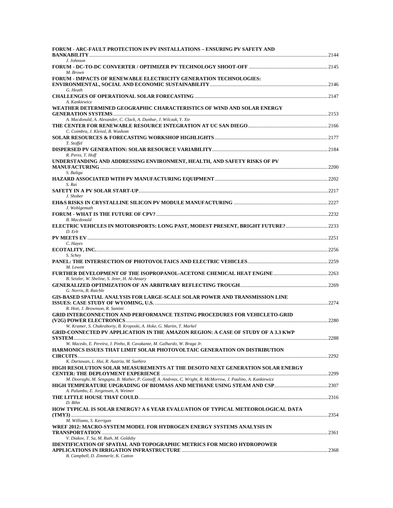| <b>FORUM - ARC-FAULT PROTECTION IN PV INSTALLATIONS – ENSURING PV SAFETY AND</b>                                                                                 |  |
|------------------------------------------------------------------------------------------------------------------------------------------------------------------|--|
| J. Johnson                                                                                                                                                       |  |
| M. Brown                                                                                                                                                         |  |
| <b>FORUM - IMPACTS OF RENEWABLE ELECTRICITY GENERATION TECHNOLOGIES:</b>                                                                                         |  |
| G. Heath                                                                                                                                                         |  |
| A. Kankiewicz                                                                                                                                                    |  |
| WEATHER DETERMINED GEOGRAPHIC CHARACTERISTICS OF WIND AND SOLAR ENERGY                                                                                           |  |
|                                                                                                                                                                  |  |
| A. Macdonald, A. Alexander, C. Clack, A. Dunbar, J. Wilczak, Y. Xie                                                                                              |  |
| C. Coimbra, J. Kleissl, B. Washom                                                                                                                                |  |
| T. Stoffel                                                                                                                                                       |  |
|                                                                                                                                                                  |  |
| R. Perez, T. Hoff                                                                                                                                                |  |
| UNDERSTANDING AND ADDRESSING ENVIRONMENT, HEALTH, AND SAFETY RISKS OF PV                                                                                         |  |
| S. Baliga                                                                                                                                                        |  |
| S. Rai                                                                                                                                                           |  |
| J. Shober                                                                                                                                                        |  |
|                                                                                                                                                                  |  |
| J. Wohlgemuth                                                                                                                                                    |  |
| <b>B.</b> Macdonald                                                                                                                                              |  |
| ELECTRIC VEHICLES IN MOTORSPORTS: LONG PAST, MODEST PRESENT, BRIGHT FUTURE?2233<br>D. Erb                                                                        |  |
|                                                                                                                                                                  |  |
| C. Hayes                                                                                                                                                         |  |
| S. Schey                                                                                                                                                         |  |
| M. Lewett                                                                                                                                                        |  |
| B. Setzler, W. Sheline, S. Jeter, H. Al-Ansary                                                                                                                   |  |
| G. Norris, B. Raichle                                                                                                                                            |  |
| <b>GIS-BASED SPATIAL ANALYSIS FOR LARGE-SCALE SOLAR POWER AND TRANSMISSION LINE</b>                                                                              |  |
| R. Hott, J. Brownson, R. Santini                                                                                                                                 |  |
| <b>GRID INTERCONNECTION AND PERFORMANCE TESTING PROCEDURES FOR VEHICLETO-GRID</b>                                                                                |  |
|                                                                                                                                                                  |  |
| W. Kramer, S. Chakraborty, B. Kroposki, A. Hoke, G. Martin, T. Markel<br><b>GRID-CONNECTED PV APPLICATION IN THE AMAZON REGION: A CASE OF STUDY OF A 3.3 KWP</b> |  |
|                                                                                                                                                                  |  |
| W. Macedo, E. Pereira, J. Pinho, R. Cavakante, M. Galhardo, W. Braga Jr.                                                                                         |  |
| HARMONICS ISSUES THAT LIMIT SOLAR PHOTOVOLTAIC GENERATION ON DISTRIBUTION                                                                                        |  |
| K. Dartawan, L. Hui, R. Austria, M. Suehiro                                                                                                                      |  |
| HIGH RESOLUTION SOLAR MEASUREMENTS AT THE DESOTO NEXT GENERATION SOLAR ENERGY                                                                                    |  |
| M. Dooraghi, M. Sengupta, B. Mather, P. Gotseff, A. Andreas, C. Wright, R. McMorrow, J. Paulino, A. Kankiewicz                                                   |  |
| A. Palumbo, E. Jorgensen, A. Weimer                                                                                                                              |  |
|                                                                                                                                                                  |  |
| D. Bihn<br>HOW TYPICAL IS SOLAR ENERGY? A 6 YEAR EVALUATION OF TYPICAL METEOROLOGICAL DATA                                                                       |  |
|                                                                                                                                                                  |  |
| M. Williams, S. Kerrigan<br>WREF 2012: MACRO-SYSTEM MODEL FOR HYDROGEN ENERGY SYSTEMS ANALYSIS IN                                                                |  |
|                                                                                                                                                                  |  |
| V. Diakov, T. Sa, M. Ruth, M. Goldsby                                                                                                                            |  |
| <b>IDENTIFICATION OF SPATIAL AND TOPOGRAPHIC METRICS FOR MICRO HYDROPOWER</b>                                                                                    |  |
| B. Campbell, D. Zimmerle, K. Catton                                                                                                                              |  |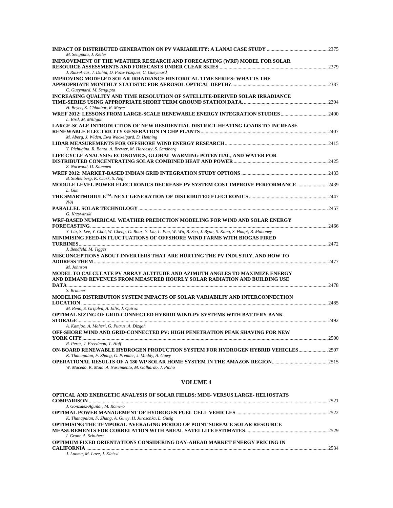| M. Sengputa, J. Keller                                                                                            |  |
|-------------------------------------------------------------------------------------------------------------------|--|
| <b>IMPROVEMENT OF THE WEATHER RESEARCH AND FORECASTING (WRF) MODEL FOR SOLAR</b>                                  |  |
| J. Ruiz-Arias, J. Duhia, D. Pozo-Vazquez, C. Gueymard                                                             |  |
|                                                                                                                   |  |
| <b>IMPROVING MODELED SOLAR IRRADIANCE HISTORICAL TIME SERIES: WHAT IS THE</b>                                     |  |
|                                                                                                                   |  |
| C. Gueymard, M. Sengupta                                                                                          |  |
| INCREASING QUALITY AND TIME RESOLUTION OF SATELLITE-DERIVED SOLAR IRRADIANCE                                      |  |
| H. Beyer, K. Chhatbar, R. Meyer                                                                                   |  |
|                                                                                                                   |  |
| L. Bird, M. Milligan                                                                                              |  |
| LARGE-SCALE INTRODUCTION OF NEW RESIDENTIAL DISTRICT-HEATING LOADS TO INCREASE                                    |  |
|                                                                                                                   |  |
| M. Aberg, J. Widen, Ewa Wackelgard, D. Henning                                                                    |  |
|                                                                                                                   |  |
| Y. Pichugina, R. Banta, A. Brewer, M. Hardesty, S. Sandberg                                                       |  |
| LIFE CYCLE ANALYSIS: ECONOMICS, GLOBAL WARMING POTENTIAL, AND WATER FOR                                           |  |
|                                                                                                                   |  |
| Z. Norwood, D. Kammen                                                                                             |  |
|                                                                                                                   |  |
| B. Stoltenberg, K. Clark, S. Negi                                                                                 |  |
| MODULE LEVEL POWER ELECTRONICS DECREASE PV SYSTEM COST IMPROVE PERFORMANCE  2439                                  |  |
| L. Gun                                                                                                            |  |
|                                                                                                                   |  |
| N/A                                                                                                               |  |
|                                                                                                                   |  |
| G. Krzywinski                                                                                                     |  |
| WRF-BASED NUMERICAL WEATHER PREDICTION MODELING FOR WIND AND SOLAR ENERGY                                         |  |
|                                                                                                                   |  |
| Y. Liu, S. Lee, Y. Choi, W. Cheng, G. Roux, Y. Liu, L. Pan, W. Wu, B. Seo, J. Byon, S. Kang, S. Haupt, B. Mahoney |  |
| MINIMISING FEED-IN FLUCTUATIONS OF OFFSHORE WIND FARMS WITH BIOGAS FIRED                                          |  |
|                                                                                                                   |  |
| J. Bendfeld, M. Tigges                                                                                            |  |
| MISCONCEPTIONS ABOUT INVERTERS THAT ARE HURTING THE PV INDUSTRY, AND HOW TO                                       |  |
|                                                                                                                   |  |
| M. Johnson                                                                                                        |  |
| MODEL TO CALCULATE PV ARRAY ALTITUDE AND AZIMUTH ANGLES TO MAXIMIZE ENERGY                                        |  |
| AND DEMAND REVENUES FROM MEASURED HOURLY SOLAR RADIATION AND BUILDING USE                                         |  |
|                                                                                                                   |  |
| S. Brunner                                                                                                        |  |
| MODELING DISTRIBUTION SYSTEM IMPACTS OF SOLAR VARIABILIY AND INTERCONNECTION                                      |  |
|                                                                                                                   |  |
| M. Reno, S. Grijalva, A. Ellis, J. Quiroz.                                                                        |  |
| OPTIMAL SIZING OF GRID-CONNECTED HYBRID WIND-PV SYSTEMS WITH BATTERY BANK                                         |  |
|                                                                                                                   |  |
| A. Kamjoo, A. Maheri, G. Putrus, A. Dizgah                                                                        |  |
| OFF-SHORE WIND AND GRID-CONNECTED PV: HIGH PENETRATION PEAK SHAVING FOR NEW                                       |  |
| R. Perez, J. Freedman, T. Hoff                                                                                    |  |
| ON-BOARD RENEWABLE HYDROGEN PRODUCTION SYSTEM FOR HYDROGEN HYBRID VEHICLES 2507                                   |  |
| K. Thanapalan, F. Zhang, G. Premier, J. Maddy, A. Guwy                                                            |  |
|                                                                                                                   |  |
| W. Macedo, K. Maia, A. Nascimento, M. Galhardo, J. Pinho                                                          |  |
|                                                                                                                   |  |

| OPTICAL AND ENERGETIC ANALYSIS OF SOLAR FIELDS: MINI- VERSUS LARGE-HELIOSTATS |      |
|-------------------------------------------------------------------------------|------|
|                                                                               | 2521 |
| J. Gonzalez-Aguilar, M. Romero                                                |      |
|                                                                               |      |
| K. Thanapalan, F. Zhang, A. Guwy, H. Juraschka, L. Gusig                      |      |
| OPTIMISING THE TEMPORAL AVERAGING PERIOD OF POINT SURFACE SOLAR RESOURCE      |      |
|                                                                               |      |
| I. Grant. A. Schubert                                                         |      |
| OPTIMUM FIXED ORIENTATIONS CONSIDERING DAY-AHEAD MARKET ENERGY PRICING IN     |      |
|                                                                               | 2534 |
| I Lugge M Lang I Vlaical                                                      |      |

*J. Luoma, M. Lave, J. Kleissl*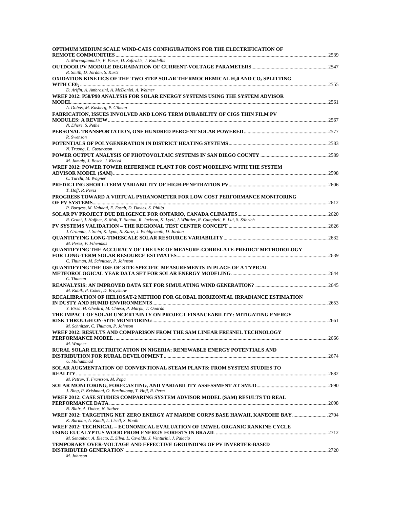| OPTIMUM MEDIUM SCALE WIND-CAES CONFIGURATIONS FOR THE ELECTRIFICATION OF                                                                |  |
|-----------------------------------------------------------------------------------------------------------------------------------------|--|
| A. Marcogiannakis, P. Pasas, D. Zafirakis, J. Kaldellis                                                                                 |  |
|                                                                                                                                         |  |
| R. Smith, D. Jordan, S. Kurtz<br>OXIDATION KINETICS OF THE TWO STEP SOLAR THERMOCHEMICAL H <sub>2</sub> 0 AND CO <sub>2</sub> SPLITTING |  |
|                                                                                                                                         |  |
| D. Arifin, A. Ambrosini, A. McDaniel, A. Weimer                                                                                         |  |
| WREF 2012: P50/P90 ANALYSIS FOR SOLAR ENERGY SYSTEMS USING THE SYSTEM ADVISOR                                                           |  |
| A. Dobos, M. Kasberg, P. Gilman                                                                                                         |  |
| FABRICATION, ISSUES INVOLVED AND LONG TERM DURABILITY OF CIGS THIN FILM PV                                                              |  |
|                                                                                                                                         |  |
| N. Dhere, S. Pethe                                                                                                                      |  |
|                                                                                                                                         |  |
| R. Swenson                                                                                                                              |  |
| N. Truong, L. Gustavsson                                                                                                                |  |
|                                                                                                                                         |  |
| M. Jamaly, J. Bosch, J. Kleissl                                                                                                         |  |
| WREF 2012: POWER TOWER REFERENCE PLANT FOR COST MODELING WITH THE SYSTEM                                                                |  |
|                                                                                                                                         |  |
| C. Turchi, M. Wagner                                                                                                                    |  |
| T. Hoff, R. Perez                                                                                                                       |  |
| PROGRESS TOWARD A VIRTUAL PYRANOMETER FOR LOW COST PERFORMANCE MONITORING                                                               |  |
|                                                                                                                                         |  |
| P. Burgess, M. Vahdati, E. Essah, D. Davies, S. Philip                                                                                  |  |
| R. Grant, J. Hoffner, S. Mak, T. Santon, R. Jackson, K. Lyell, J. Whittier, R. Campbell, E. Lui, S. Stibrich                            |  |
|                                                                                                                                         |  |
| J. Granata, J. Stein, K. Lynn, S. Kurtz, J. Wohlgemuth, D. Jordan                                                                       |  |
|                                                                                                                                         |  |
| M. Perez, V. Fthenakis                                                                                                                  |  |
| <b>OUANTIFYING THE ACCURACY OF THE USE OF MEASURE-CORRELATE-PREDICT METHODOLOGY</b>                                                     |  |
| C. Thuman, M. Schnitzer, P. Johnson                                                                                                     |  |
| QUANTIFYING THE USE OF SITE-SPECIFIC MEASUREMENTS IN PLACE OF A TYPICAL                                                                 |  |
|                                                                                                                                         |  |
| C. Thuman                                                                                                                               |  |
| M. Kubik, P. Coker, D. Brayshaw                                                                                                         |  |
| RECALIBRATION OF HELIOSAT-2 METHOD FOR GLOBAL HORIZONTAL IRRADIANCE ESTIMATION                                                          |  |
|                                                                                                                                         |  |
| Y. Eissa, H. Ghedira, M. Chiesa, P. Marpu, T. Ouarda                                                                                    |  |
| THE IMPACT OF SOLAR UNCERTAINTY ON PROJECT FINANCEABILITY: MITIGATING ENERGY                                                            |  |
| M. Schnitzer, C. Thuman, P. Johnson                                                                                                     |  |
| WREF 2012: RESULTS AND COMPARISON FROM THE SAM LINEAR FRESNEL TECHNOLOGY                                                                |  |
|                                                                                                                                         |  |
| M. Wagner                                                                                                                               |  |
| RURAL SOLAR ELECTRIFICATION IN NIGERIA: RENEWABLE ENERGY POTENTIALS AND                                                                 |  |
| U. Muhammad                                                                                                                             |  |
| SOLAR AUGMENTATION OF CONVENTIONAL STEAM PLANTS: FROM SYSTEM STUDIES TO                                                                 |  |
|                                                                                                                                         |  |
| M. Petrov, T. Fransson, M. Popa                                                                                                         |  |
|                                                                                                                                         |  |
| J. Bing, P. Krishnani, O. Bartholomy, T. Hoff, R. Perez<br>WREF 2012: CASE STUDIES COMPARING SYSTEM ADVISOR MODEL (SAM) RESULTS TO REAL |  |
|                                                                                                                                         |  |
| N. Blair, A. Dobos, N. Sather                                                                                                           |  |
| WREF 2012: TARGETING NET ZERO ENERGY AT MARINE CORPS BASE HAWAII, KANEOHE BAY 2704                                                      |  |
| K. Burman, A. Kandt, L. Lisell, S. Booth                                                                                                |  |
| WREF 2012: TECHNICAL – ECONOMICAL EVALUATION OF 1MWEL ORGANIC RANKINE CYCLE                                                             |  |
| M. Senaubar, A. Electo, E. Silva, L. Osvaldo, J. Venturini, J. Palacio                                                                  |  |
| TEMPORARY OVER-VOLTAGE AND EFFECTIVE GROUNDING OF PV INVERTER-BASED                                                                     |  |
|                                                                                                                                         |  |
| M. Johnson                                                                                                                              |  |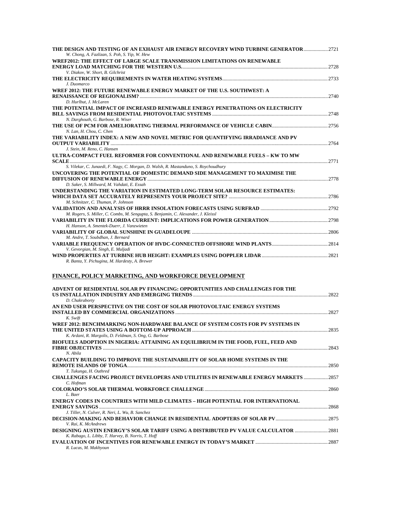| THE DESIGN AND TESTING OF AN EXHAUST AIR ENERGY RECOVERY WIND TURBINE GENERATOR2721<br>W. Chong, A. Fazlizan, S. Poh, S. Yip, W. Hew         |  |
|----------------------------------------------------------------------------------------------------------------------------------------------|--|
| WREF2012: THE EFFECT OF LARGE SCALE TRANSMISSION LIMITATIONS ON RENEWABLE                                                                    |  |
| V. Diakov, W. Short, B. Gilchrist                                                                                                            |  |
|                                                                                                                                              |  |
| J. Duomarco                                                                                                                                  |  |
| WREF 2012: THE FUTURE RENEWABLE ENERGY MARKET OF THE U.S. SOUTHWEST: A                                                                       |  |
| D. Hurlbut, J. McLaren                                                                                                                       |  |
| THE POTENTIAL IMPACT OF INCREASED RENEWABLE ENERGY PENETRATIONS ON ELECTRICITY                                                               |  |
| N. Darghouth, G. Barbose, R. Wiser                                                                                                           |  |
|                                                                                                                                              |  |
| N. Lan. H. Chou. C. Chen<br>THE VARIABILITY INDEX; A NEW AND NOVEL METRIC FOR QUANTIFYING IRRADIANCE AND PV                                  |  |
|                                                                                                                                              |  |
| J. Stein, M. Reno, C. Hansen                                                                                                                 |  |
| ULTRA-COMPACT FUEL REFORMER FOR CONVENTIONAL AND RENEWABLE FUELS - KW TO MW                                                                  |  |
| S. Vilekar, C. Junaedi, F. Nagy, C. Morgan, D. Walsh, R. Mastanduno, S. Roychoudhury                                                         |  |
| UNCOVERING THE POTENTIAL OF DOMESTIC DEMAND SIDE MANAGEMENT TO MAXIMISE THE                                                                  |  |
| D. Saker, S. Millward, M. Vahdati, E. Essah                                                                                                  |  |
| UNDERSTANDING THE VARIATION IN ESTIMATED LONG-TERM SOLAR RESOURCE ESTIMATES:                                                                 |  |
| M. Schnitzer, C. Thuman, P. Johnson                                                                                                          |  |
|                                                                                                                                              |  |
| M. Rogers, S. Miller, C. Combs, M. Sengupta, S. Benjamin, C. Alexander, J. Kleissl                                                           |  |
| H. Hanson, A. Smentek-Duerr, J. Vanzwieten                                                                                                   |  |
|                                                                                                                                              |  |
| M. Andre, T. Soubdhan, J. Bernard                                                                                                            |  |
| V. Gevorgian, M. Singh, E. Muljadi                                                                                                           |  |
| R. Banta, Y. Pichugina, M. Hardesty, A. Brewer                                                                                               |  |
|                                                                                                                                              |  |
| FINANCE, POLICY MARKETING, AND WORKFORCE DEVELOPMENT                                                                                         |  |
| ADVENT OF RESIDENTIAL SOLAR PV FINANCING: OPPORTUNITIES AND CHALLENGES FOR THE                                                               |  |
| D. Chakraborty                                                                                                                               |  |
| AN END USER PERSPECTIVE ON THE COST OF SOLAR PHOTOVOLTAIC ENERGY SYSTEMS                                                                     |  |
|                                                                                                                                              |  |
| K. Swift<br>WREF 2012: BENCHMARKING NON-HARDWARE BALANCE OF SYSTEM COSTS FOR PV SYSTEMS IN                                                   |  |
|                                                                                                                                              |  |
| K. Ardani, R. Margolis, D. Feldman, S. Ong, G. Barbose<br>BIOFUELS ADOPTION IN NIGERIA: ATTAINING AN EQUILIBRIUM IN THE FOOD, FUEL, FEED AND |  |
|                                                                                                                                              |  |
| N. Abila                                                                                                                                     |  |
| CAPACITY BUILDING TO IMPROVE THE SUSTAINABILITY OF SOLAR HOME SYSTEMS IN THE                                                                 |  |
| T. Tukunga, H. Outhred                                                                                                                       |  |
| <b>CHALLENGES FACING PROJECT DEVELOPERS AND UTILITIES IN RENEWABLE ENERGY MARKETS  2857</b>                                                  |  |
| C. Hofman                                                                                                                                    |  |
| L. Baer                                                                                                                                      |  |
| ENERGY CODES IN COUNTRIES WITH MILD CLIMATES – HIGH POTENTIAL FOR INTERNATIONAL                                                              |  |
| J. Tiller, N. Culver, R. Neri, L. Wu, B. Sanchez                                                                                             |  |
|                                                                                                                                              |  |
| V. Rai, K. McAndrews<br>DESIGNING AUSTIN ENERGY'S SOLAR TARIFF USING A DISTRIBUTED PV VALUE CALCULATOR 2881                                  |  |
| K. Rabago, L. Libby, T. Harvey, B. Norris, T. Hoff                                                                                           |  |
| R. Lucas, M. Makhyoun                                                                                                                        |  |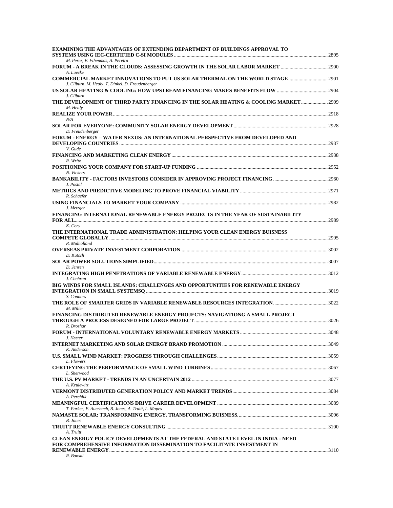| <b>EXAMINING THE ADVANTAGES OF EXTENDING DEPARTMENT OF BUILDINGS APPROVAL TO</b>                 |  |
|--------------------------------------------------------------------------------------------------|--|
| M. Perez, V. Fthenakis, A. Pereira                                                               |  |
| A. Luecke                                                                                        |  |
| J. Cliburn, M. Healy, T. Dinkel, D. Freudenberger                                                |  |
| J. Cliburn                                                                                       |  |
| THE DEVELOPMENT OF THIRD PARTY FINANCING IN THE SOLAR HEATING & COOLING MARKET  2909<br>M. Healy |  |
| N/A                                                                                              |  |
| D. Freudenberger                                                                                 |  |
| FORUM - ENERGY – WATER NEXUS: AN INTERNATIONAL PERSPECTIVE FROM DEVELOPED AND<br>V. Gude         |  |
|                                                                                                  |  |
| R. Writz                                                                                         |  |
| N. Vickers                                                                                       |  |
| J. Postal                                                                                        |  |
| R. Schaefer                                                                                      |  |
| J. Metzger                                                                                       |  |
| FINANCING INTERNATIONAL RENEWABLE ENERGY PROJECTS IN THE YEAR OF SUSTAINABILITY                  |  |
| K. Cory<br>THE INTERNATIONAL TRADE ADMINISTRATION: HELPING YOUR CLEAN ENERGY BUISNESS            |  |
| R. Mulholland                                                                                    |  |
| D. Kutsch                                                                                        |  |
| D. Jensen                                                                                        |  |
|                                                                                                  |  |
| J. Cochran<br>BIG WINDS FOR SMALL ISLANDS: CHALLENGES AND OPPORTUNITIES FOR RENEWABLE ENERGY     |  |
| S. Connors                                                                                       |  |
| M. Miller                                                                                        |  |
| FINANCING DISTRIBUTED RENEWABLE ENERGY PROJECTS: NAVIGATIONG A SMALL PROJECT                     |  |
| R. Broshar                                                                                       |  |
| J. Heeter                                                                                        |  |
| K. Anderson                                                                                      |  |
| L. Flowers                                                                                       |  |
| L. Sherwood                                                                                      |  |
|                                                                                                  |  |
| A. Krulewitz                                                                                     |  |
| A. Perchlik                                                                                      |  |
| T. Parker, E. Auerbach, B. Jones, A. Truitt, L. Mapes                                            |  |
| <b>B.</b> Jones                                                                                  |  |
| A. Truitt<br>CLEAN ENERGY POLICY DEVELOPMENTS AT THE FEDERAL AND STATE LEVEL IN INDIA - NEED     |  |
| FOR COMPREHENSIVE INFORMATION DISSEMINATION TO FACILITATE INVESTMENT IN                          |  |
| R. Bansal                                                                                        |  |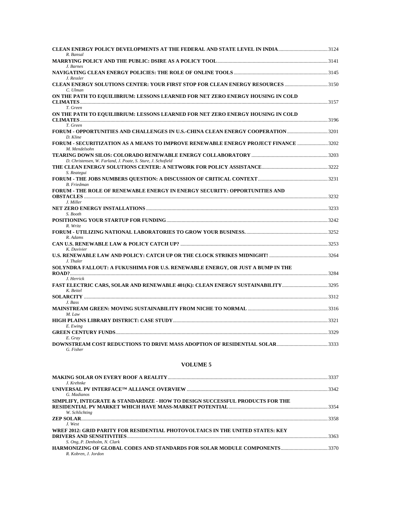| R Bansal                                                                                                   |  |
|------------------------------------------------------------------------------------------------------------|--|
|                                                                                                            |  |
| J. Barnes                                                                                                  |  |
| J. Ressler                                                                                                 |  |
| CLEAN ENERGY SOLUTIONS CENTER: YOUR FIRST STOP FOR CLEAN ENERGY RESOURCES 3150<br>C. Ulman                 |  |
| ON THE PATH TO EQUILIBRIUM: LESSONS LEARNED FOR NET ZERO ENERGY HOUSING IN COLD                            |  |
| T. Green<br>ON THE PATH TO EQUILIBRIUM: LESSONS LEARNED FOR NET ZERO ENERGY HOUSING IN COLD                |  |
| T. Green                                                                                                   |  |
| FORUM - OPPORTUNITIES AND CHALLENGES IN U.S.-CHINA CLEAN ENERGY COOPERATION 3201<br>D. Kline               |  |
| TORUM - SECURITIZATION AS A MEANS TO IMPROVE RENEWABLE ENERGY PROJECT FINANCE 3202<br>M. Mendelsohn        |  |
|                                                                                                            |  |
| D. Christensen, W. Farland, J. Poate, S. Sture, J. Schofield                                               |  |
| S. Reategui                                                                                                |  |
| <b>B.</b> Friedman                                                                                         |  |
| <b>FORUM - THE ROLE OF RENEWABLE ENERGY IN ENERGY SECURITY: OPPORTUNITIES AND</b>                          |  |
| J. Miller                                                                                                  |  |
| S. Booth                                                                                                   |  |
|                                                                                                            |  |
| R. Writz                                                                                                   |  |
| $R.$ Adams                                                                                                 |  |
|                                                                                                            |  |
| K. Duvivier<br>J. Thaler                                                                                   |  |
| SOLYNDRA FALLOUT: A FUKUSHIMA FOR U.S. RENEWABLE ENERGY, OR JUST A BUMP IN THE                             |  |
|                                                                                                            |  |
| J. Herrick<br>FAST ELECTRIC CARS, SOLAR AND RENEWABLE 401(K): CLEAN ENERGY SUSTAINABILITY3295<br>K. Beitel |  |
|                                                                                                            |  |
| J. Bass                                                                                                    |  |
| M. Law                                                                                                     |  |
|                                                                                                            |  |
| E. Ewing                                                                                                   |  |
| E. Gray                                                                                                    |  |
| G. Fisher                                                                                                  |  |
|                                                                                                            |  |

|                                                                                              | 3337 |
|----------------------------------------------------------------------------------------------|------|
| J. Krehnke                                                                                   | 3342 |
| G. Madianos<br>SIMPLIFY, INTEGRATE & STANDARDIZE - HOW TO DESIGN SUCCESSFUL PRODUCTS FOR THE |      |
| W. Schlichting                                                                               | 3354 |
| J. West                                                                                      | 3358 |
| WREF 2012: GRID PARITY FOR RESIDENTIAL PHOTOVOLTAICS IN THE UNITED STATES: KEY               | 3363 |
| S. Ong, P. Denholm, N. Clark                                                                 |      |
| R. Kobren, J. Jordon                                                                         |      |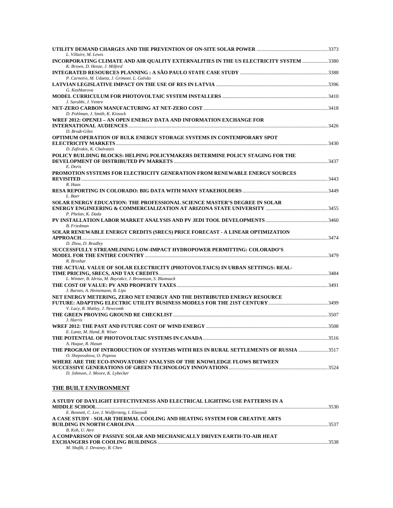| L. Villaire, M. Lewis<br>INCORPORATING CLIMATE AND AIR QUALITY EXTERNALITIES IN THE US ELECTRICITY SYSTEM 3380 |      |
|----------------------------------------------------------------------------------------------------------------|------|
| K. Brown, D. Henze, J. Milford                                                                                 |      |
|                                                                                                                |      |
| P. Carneiro, M. Udaeta, J. Grimoni. L. Galvão                                                                  |      |
| G. Kashkarova                                                                                                  |      |
| J. Sarubbi, J. Ventre                                                                                          |      |
|                                                                                                                |      |
| D. Pohlman, J. Smith, K. Kissock                                                                               |      |
| WREF 2012: OPENEI - AN OPEN ENERGY DATA AND INFORMATION EXCHANGE FOR                                           |      |
| D. Brodt-Giles                                                                                                 |      |
| OPTIMUM OPERATION OF BULK ENERGY STORAGE SYSTEMS IN CONTEMPORARY SPOT                                          |      |
| D. Zafirakis, K. Chalvatzis                                                                                    |      |
| POLICY BUILDING BLOCKS: HELPING POLICYMAKERS DETERMINE POLICY STAGING FOR THE                                  |      |
|                                                                                                                |      |
| E. Doris<br>PROMOTION SYSTEMS FOR ELECTRICITY GENERATION FROM RENEWABLE ENERGY SOURCES                         |      |
|                                                                                                                |      |
| R. Haas                                                                                                        |      |
| L. Baer                                                                                                        |      |
| SOLAR ENERGY EDUCATION: THE PROFESSIONAL SCIENCE MASTER'S DEGREE IN SOLAR                                      |      |
| P. Phelan, K. Dada                                                                                             |      |
|                                                                                                                |      |
| <b>B.</b> Friedman                                                                                             |      |
| SOLAR RENEWABLE ENERGY CREDITS (SRECS) PRICE FORECAST - A LINEAR OPTIMIZATION                                  |      |
| D. Zhou, D. Bradley                                                                                            |      |
| SUCCESSFULLY STREAMLINING LOW-IMPACT HYDROPOWER PERMITTING: COLORADO'S                                         |      |
| R. Broshar                                                                                                     |      |
| THE ACTUAL VALUE OF SOLAR ELECTRICITY (PHOTOVOLTAICS) IN URBAN SETTINGS: REAL-                                 |      |
| L. Witmer, B. Idrisu, M. Bayrakci, J. Brownson, S. Blumsack                                                    |      |
|                                                                                                                |      |
| J. Barnes, A. Heinemann, B. Lips                                                                               |      |
| NET ENERGY METERING, ZERO NET ENERGY AND THE DISTRIBUTED ENERGY RESOURCE                                       |      |
| V. Lacy, R. Matley, J. Newcomb                                                                                 |      |
|                                                                                                                |      |
| J. Harris                                                                                                      |      |
| E. Lantz, M. Hand, R. Wiser                                                                                    |      |
| A. Haque, R. Hasan                                                                                             |      |
| THE PROGRAM OF INTRODUCTION OF SYSTEMS WITH RES IN RURAL SETTLEMENTS OF RUSSIA 3517                            |      |
| O. Shepovalova, O. Popova                                                                                      |      |
| WHERE ARE THE ECO-INNOVATORS? ANALYSIS OF THE KNOWLEDGE FLOWS BETWEEN                                          |      |
| D. Johnson, J. Moore, K. Lybecker                                                                              |      |
|                                                                                                                |      |
| THE BUILT ENVIRONMENT                                                                                          |      |
| A STUDY OF DAYLIGHT EFFECTIVENESS AND ELECTRICAL LIGHTING USE PATTERNS IN A                                    |      |
| MIDDI E SCHOOL                                                                                                 | 3530 |

| <b>MIDDLE SCHOOL</b> 2530                                                 |      |
|---------------------------------------------------------------------------|------|
| E. Bonnett, C. Lee, I. Wolfersteig, I. Elzevadi                           |      |
| A CASE STUDY - SOLAR THERMAL COOLING AND HEATING SYSTEM FOR CREATIVE ARTS |      |
|                                                                           | 3537 |
| B. Koh. U. Atre                                                           |      |
| A COMPARISON OF PASSIVE SOLAR AND MECHANICALLY DRIVEN EARTH-TO-AIR HEAT   |      |
|                                                                           | 3538 |
| M. Shafik, J. Devaney, B. Chen                                            |      |
|                                                                           |      |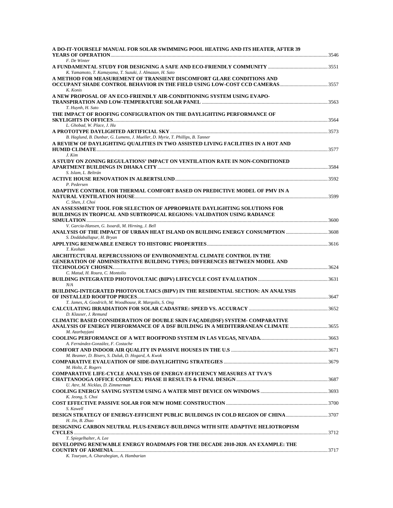| A DO-IT-YOURSELF MANUAL FOR SOLAR SWIMMING POOL HEATING AND ITS HEATER, AFTER 39                                                                                                         |  |
|------------------------------------------------------------------------------------------------------------------------------------------------------------------------------------------|--|
| F. De Winter<br>K. Yamamoto, T. Kamayama, T. Suzuki, J. Almazan, H. Sato                                                                                                                 |  |
| A METHOD FOR MEASUREMENT OF TRANSIENT DISCOMFORT GLARE CONDITIONS AND                                                                                                                    |  |
| K. Konis<br>A NEW PROPOSAL OF AN ECO-FRIENDLY AIR-CONDITIONING SYSTEM USING EVAPO-                                                                                                       |  |
| T. Huynh, H. Sato                                                                                                                                                                        |  |
| THE IMPACT OF ROOFING CONFIGURATION ON THE DAYLIGHTING PERFORMANCE OF<br>L. Ghobad, W. Place, J. Hu                                                                                      |  |
| B. Haglund, B. Dunbar, G. Lumens, J. Mueller, D. Myrie, T. Phillips, B. Tanner                                                                                                           |  |
| A REVIEW OF DAYLIGHTING OUALITIES IN TWO ASSISTED LIVING FACILITIES IN A HOT AND<br>J. Kim                                                                                               |  |
| A STUDY ON ZONING REGULATIONS' IMPACT ON VENTILATION RATE IN NON-CONDITIONED                                                                                                             |  |
| S. Islam, L. Beltrán<br>P. Pedersen                                                                                                                                                      |  |
| ADAPTIVE CONTROL FOR THERMAL COMFORT BASED ON PREDICTIVE MODEL OF PMV IN A                                                                                                               |  |
| C. Shen, J. Choi<br>AN ASSESSMENT TOOL FOR SELECTION OF APPROPRIATE DAYLIGHTING SOLUTIONS FOR<br>BUILDINGS IN TROPICAL AND SUBTROPICAL REGIONS: VALIDATION USING RADIANCE                |  |
| V. Garcia-Hansen, G. Isoardi, M. Hirning, J. Bell<br>ANALYSIS OF THE IMPACT OF URBAN HEAT ISLAND ON BUILDING ENERGY CONSUMPTION 3608                                                     |  |
| S. Doddaballapur, H. Bryan<br>T. Keohan                                                                                                                                                  |  |
| ARCHITECTURAL REPERCUSSIONS OF ENVIRONMENTAL CLIMATE CONTROL IN THE<br><b>GENERATION OF ADMINISTRATIVE BUILDING TYPES; DIFFERENCES BETWEEN MODEL AND</b>                                 |  |
| C. Matud, H. Roura, C. Montolío<br>N/A                                                                                                                                                   |  |
| BUILDING-INTEGRATED PHOTOVOLTAICS (BIPV) IN THE RESIDENTIAL SECTION: AN ANALYSIS                                                                                                         |  |
| T. James, A. Goodrich, M. Woodhouse, R. Margolis, S. Ong                                                                                                                                 |  |
| D. Klauser, J. Remund<br>CLIMATIC BASED CONSIDERATION OF DOUBLE SKIN FACADE(DSF) SYSTEM- COMPARATIVE<br>ANALYSIS OF ENERGY PERFORMANCE OF A DSF BUILDING IN A MEDITERRANEAN CLIMATE 3655 |  |
| M. Azarbayjani                                                                                                                                                                           |  |
| A. Fernández-González, F. Costache                                                                                                                                                       |  |
| M. Beamer, D. Bisers, S. Duluk, D. Hogard, A. Kwok<br>M. Holtz, Z. Rogers                                                                                                                |  |
| <b>COMPARATIVE LIFE-CYCLE ANALYSIS OF ENERGY-EFFICIENCY MEASURES AT TVA'S</b><br>U. Atre, M. Nicklas, D. Zimmerman                                                                       |  |
| K. Jeong, S. Choi                                                                                                                                                                        |  |
| S. Kawell                                                                                                                                                                                |  |
| DESIGN STRATEGY OF ENERGY-EFFICIENT PUBLIC BUILDINGS IN COLD REGION OF CHINA 3707<br>H. Jin, B. Zhao                                                                                     |  |
| DESIGNING CARBON NEUTRAL PLUS-ENERGY-BUILDINGS WITH SITE ADAPTIVE HELIOTROPISM<br>T. Spiegelhalter, A. Lee                                                                               |  |
| DEVELOPING RENEWABLE ENERGY ROADMAPS FOR THE DECADE 2010-2020. AN EXAMPLE: THE<br>K. Touryan, A. Gharabegian, A. Hambarian                                                               |  |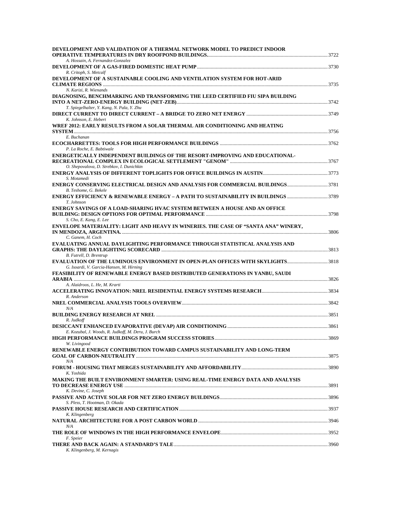| DEVELOPMENT AND VALIDATION OF A THERMAL NETWORK MODEL TO PREDICT INDOOR                                                                               |  |
|-------------------------------------------------------------------------------------------------------------------------------------------------------|--|
| A. Hossain, A. Fernandez-Gonzalez                                                                                                                     |  |
| R. Critoph, S. Metcalf                                                                                                                                |  |
| DEVELOPMENT OF A SUSTAINABLE COOLING AND VENTILATION SYSTEM FOR HOT-ARID                                                                              |  |
| N. Karizi, R. Wienands                                                                                                                                |  |
| DIAGNOSING, BENCHMARKING AND TRANSFORMING THE LEED CERTIFIED FIU SIPA BUILDING                                                                        |  |
| T. Spiegelhalter, Y. Kang, N. Pala, Y. Zhu                                                                                                            |  |
| K. Johnson, E. Hebert<br>WREF 2012: EARLY RESULTS FROM A SOLAR THERMAL AIR CONDITIONING AND HEATING                                                   |  |
| E. Buchanan                                                                                                                                           |  |
| P. La Roche, E. Babtiwale                                                                                                                             |  |
| ENERGETICALLY INDEPENDENT BUILDINGS OF THE RESORT-IMPROVING AND EDUCATIONAL-                                                                          |  |
| O. Shepovalova, D. Strebkov, I. Dunichkin<br>S. Motamedi                                                                                              |  |
| ENERGY CONSERVING ELECTRICAL DESIGN AND ANALYSIS FOR COMMERCIAL BUILDINGS3781<br>B. Teshome, G. Bekele                                                |  |
| ENERGY EFFICIENCY & RENEWABLE ENERGY - A PATH TO SUSTAINABILITY IN BUILDINGS 3789<br>T. Johnson                                                       |  |
| ENERGY SAVINGS OF A LOAD-SHARING HVAC SYSTEM BETWEEN A HOUSE AND AN OFFICE<br>S. Cho, E. Kang, E. Lee                                                 |  |
| ENVELOPE MATERIALITY: LIGHT AND HEAVY IN WINERIES. THE CASE OF "SANTA ANA" WINERY.<br>C. Ganem, H. Coch                                               |  |
| EVALUATING ANNUAL DAYLIGHTING PERFORMANCE THROUGH STATISTICAL ANALYSIS AND                                                                            |  |
| B. Futrell, D. Brentrup<br>EVALUATION OF THE LUMINOUS ENVIRONMENT IN OPEN-PLAN OFFICES WITH SKYLIGHTS3818<br>G. Isoardi, V. Garcia-Hansen, M. Hirning |  |
| FEASIBILITY OF RENEWABLE ENERGY BASED DISTRIBUTED GENERATIONS IN YANBU, SAUDI                                                                         |  |
| A. Alaidroos, L. He, M. Krarti                                                                                                                        |  |
| R. Anderson                                                                                                                                           |  |
| N/A                                                                                                                                                   |  |
| R. Judkoff                                                                                                                                            |  |
| E. Kozubal, J. Woods, R. Judkoff, M. Deru, J. Burch<br>W. Livingood                                                                                   |  |
| RENEWABLE ENERGY CONTRIBUTION TOWARD CAMPUS SUSTAINABILITY AND LONG-TERM                                                                              |  |
| N/A<br>K. Yoshida                                                                                                                                     |  |
| MAKING THE BUILT ENVIRONMENT SMARTER: USING REAL-TIME ENERGY DATA AND ANALYSIS                                                                        |  |
| K. Devine, C. Joseph<br>S. Pless. T. Hootman, D. Okada                                                                                                |  |
| K. Klingenberg                                                                                                                                        |  |
| N/A                                                                                                                                                   |  |
| F. Speier                                                                                                                                             |  |
| K. Klingenberg, M. Kernagis                                                                                                                           |  |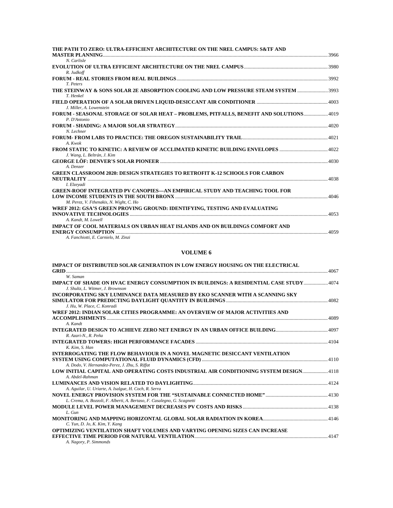| THE PATH TO ZERO: ULTRA-EFFICIENT ARCHITECTURE ON THE NREL CAMPUS: S&TF AND<br><b>MASTER PLANNING</b> 23966 |      |
|-------------------------------------------------------------------------------------------------------------|------|
| N. Carlisle                                                                                                 |      |
| R. Judkoff                                                                                                  |      |
| T. Peters                                                                                                   |      |
| THE STEINWAY & SONS SOLAR 2E ABSORPTION COOLING AND LOW PRESSURE STEAM SYSTEM 3993<br>T. Henkel             |      |
|                                                                                                             |      |
| J. Miller, A. Lowenstein                                                                                    |      |
| FORUM - SEASONAL STORAGE OF SOLAR HEAT - PROBLEMS, PITFALLS, BENEFIT AND SOLUTIONS 4019<br>P. D'Antonio     |      |
|                                                                                                             |      |
| N. Lechner                                                                                                  |      |
|                                                                                                             |      |
| A. Kwok                                                                                                     |      |
|                                                                                                             |      |
| J. Wang, L. Beltrán, J. Kim                                                                                 |      |
|                                                                                                             |      |
| A. Denzer                                                                                                   |      |
| <b>GREEN CLASSROOM 2020: DESIGN STRATEGIES TO RETROFIT K-12 SCHOOLS FOR CARBON</b>                          |      |
|                                                                                                             | 4038 |
| I. Elzevadi                                                                                                 |      |
| <b>GREEN-ROOF INTEGRATED PV CANOPIES—AN EMPIRICAL STUDY AND TEACHING TOOL FOR</b>                           |      |
| M. Perez, V. Fthenakis, N. Wight, C. Ho                                                                     |      |
| WREF 2012: GSA'S GREEN PROVING GROUND: IDENTIFYING, TESTING AND EVALUATING                                  |      |
|                                                                                                             |      |
| A. Kandt, M. Lowell                                                                                         |      |
| IMPACT OF COOL MATERIALS ON URBAN HEAT ISLANDS AND ON BUILDINGS COMFORT AND                                 |      |
|                                                                                                             | 4059 |
| A. Fanchiotti, E. Carnielo, M. Zinzi                                                                        |      |
|                                                                                                             |      |

| IMPACT OF DISTRIBUTED SOLAR GENERATION IN LOW ENERGY HOUSING ON THE ELECTRICAL                            |  |
|-----------------------------------------------------------------------------------------------------------|--|
| W. Saman<br>IMPACT OF SHADE ON HVAC ENERGY CONSUMPTION IN BUILDINGS: A RESIDENTIAL CASE STUDY4074         |  |
| J. Shultz, L. Witmer, J. Brownson                                                                         |  |
| INCORPORATING SKY LUMINANCE DATA MEASURED BY EKO SCANNER WITH A SCANNING SKY                              |  |
| J. Hu. W. Place. C. Konradi                                                                               |  |
| WREF 2012: INDIAN SOLAR CITIES PROGRAMME: AN OVERVIEW OF MAJOR ACTIVITIES AND                             |  |
|                                                                                                           |  |
| A. Kandt                                                                                                  |  |
| R. Azari-N., R. Peña                                                                                      |  |
|                                                                                                           |  |
| K. Kim. S. Han                                                                                            |  |
| INTERROGATING THE FLOW BEHAVIOUR IN A NOVEL MAGNETIC DESICCANT VENTILATION                                |  |
|                                                                                                           |  |
| A. Dodo, V. Hernandez-Perez, J. Zhu, S. Riffat                                                            |  |
| LOW INITIAL CAPITAL AND OPERATING COSTS INDUSTRIAL AIR CONDITIONING SYSTEM DESIGN 4118<br>A. Abdel-Rahman |  |
|                                                                                                           |  |
| A. Aguilar, U. Uriarte, A. Isalgue, H. Coch, R. Serra                                                     |  |
|                                                                                                           |  |
| L. Crema, A. Bozzoli, F. Alberti, A. Bertaso, F. Casalegno, G. Scagnetti                                  |  |
|                                                                                                           |  |
| $L$ Gun                                                                                                   |  |
|                                                                                                           |  |
| C. Yun, D. Jo, K. Kim, Y. Kang                                                                            |  |
| OPTIMIZING VENTILATION SHAFT VOLUMES AND VARYING OPENING SIZES CAN INCREASE                               |  |
| A. Nagory, P. Simmonds                                                                                    |  |
|                                                                                                           |  |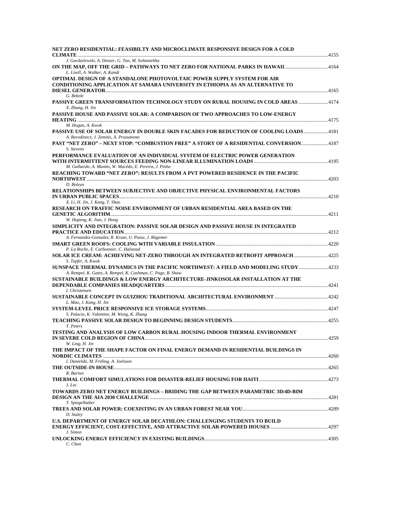| NET ZERO RESIDENTIAL: FEASIBILTY AND MICROCLIMATE RESPONSIVE DESIGN FOR A COLD                                                                                           |  |
|--------------------------------------------------------------------------------------------------------------------------------------------------------------------------|--|
| J. Gardzelewski, A. Denzer, G. Tan, M. Soltaniehha<br>ON THE MAP, OFF THE GRID - PATHWAYS TO NET ZERO FOR NATIONAL PARKS IN HAWAII4164<br>L. Lisell, A. Walker, A. Kandt |  |
| OPTIMAL DESIGN OF A STANDALONE PHOTOVOLTAIC POWER SUPPLY SYSTEM FOR AIR<br>CONDITIONING APPLICATION AT SAMARA UNIVERSITY IN ETHIOPIA AS AN ALTERNATIVE TO                |  |
| G. Bekele                                                                                                                                                                |  |
| PASSIVE GREEN TRANSFORMATION TECHNOLOGY STUDY ON RURAL HOUSING IN COLD AREAS 4174<br>X. Zhang, H. Jin                                                                    |  |
| PASSIVE HOUSE AND PASSIVE SOLAR: A COMPARISON OF TWO APPROACHES TO LOW-ENERGY<br>M. Hogan, A. Kwok                                                                       |  |
| PASSIVE USE OF SOLAR ENERGY IN DOUBLE SKIN FACADES FOR REDUCTION OF COOLING LOADS4181<br>A. Borodinecs, J. Zemitis, A. Prozuments                                        |  |
| PAST "NET ZERO" - NEXT STOP: "COMBUSTION FREE" A STORY OF A RESIDENTIAL CONVERSION4187<br>S. Stevens                                                                     |  |
| PERFORMANCE EVALUATION OF AN INDIVIDUAL SYSTEM OF ELECTRIC POWER GENERATION                                                                                              |  |
| M. Galhardo, A. Manito, W. Macêdo, E. Pereira, J. Pinho<br>REACHING TOWARD "NET ZERO": RESULTS FROM A PVT POWERED RESIDENCE IN THE PACIFIC                               |  |
| D. Boleyn<br>RELATIONSHIPS BETWEEN SUBJECTIVE AND OBJECTIVE PHYSICAL ENVIRONMENTAL FACTORS                                                                               |  |
| X. Li, H. Jin, J. Kang, T. Shao<br>RESEARCH ON TRAFFIC NOISE ENVIRONMENT OF URBAN RESIDENTIAL AREA BASED ON THE                                                          |  |
| W. Hupeng, K. Jian, J. Hong<br>SIMPLICITY AND INTEGRATION: PASSIVE SOLAR DESIGN AND PASSIVE HOUSE IN INTEGRATED                                                          |  |
| A. Fernandez-Gonzalez, R. Kruse, U. Passe, J. Rügemer                                                                                                                    |  |
| P. La Roche, E. Carbonnier, C. Halstead<br>SOLAR ICE CREAM: ACHIEVING NET-ZERO THROUGH AN INTEGRATED RETROFIT APPROACH 4225                                              |  |
| S. Tepfer, A. Kwok<br>SUNSPACE THERMAL DYNAMICS IN THE PACIFIC NORTHWEST: A FIELD AND MODELING STUDY  4233                                                               |  |
| A. Rempel, K. Gates, A. Rempel, K. Cashman, C. Page, B. Shaw<br>SUSTAINABLE BUILDINGS & LOW ENERGY ARCHITECTURE-JINKOSOLAR INSTALLATION AT THE                           |  |
| I. Christensen                                                                                                                                                           |  |
| L. Mao, J. Kang, H. Jin                                                                                                                                                  |  |
| S. Palacio, K. Valentine, M. Wong, K. Zhang                                                                                                                              |  |
| T. Peters                                                                                                                                                                |  |
| TESTING AND ANALYSIS OF LOW CARBON RURAL HOUSING INDOOR THERMAL ENVIRONMENT<br>W. Ling, H. Jin                                                                           |  |
| THE IMPACT OF THE SHAPE FACTOR ON FINAL ENERGY DEMAND IN RESIDENTIAL BUILDINGS IN                                                                                        |  |
| I. Danielski, M. Fröling, A. Joelsson                                                                                                                                    |  |
| R. Barnes                                                                                                                                                                |  |
| J. Lin                                                                                                                                                                   |  |
| TOWARDS ZERO NET ENERGY BUILDINGS – BRIDING THE GAP BETWEEN PARAMETRIC 3D/4D-BIM<br>T. Spiegelhalter                                                                     |  |
| D. Staley                                                                                                                                                                |  |
| U.S. DEPARTMENT OF ENERGY SOLAR DECATHLON: CHALLENGING STUDENTS TO BUILD                                                                                                 |  |
| J. Simon<br>C. Chan                                                                                                                                                      |  |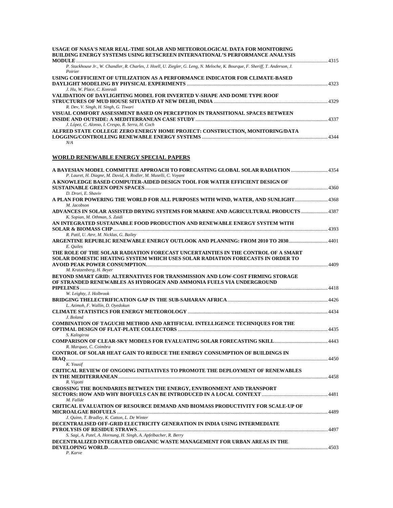| USAGE OF NASA'S NEAR REAL-TIME SOLAR AND METEOROLOGICAL DATA FOR MONITORING<br><b>BUILDING ENERGY SYSTEMS USING RETSCREEN INTERNATIONAL'S PERFORMANCE ANALYSIS</b> |  |
|--------------------------------------------------------------------------------------------------------------------------------------------------------------------|--|
| P. Stackhouse Jr., W. Chandler, R. Charles, J. Hoell, U. Ziegler, G. Leng, N. Meloche, K. Bourque, F. Sheriff, T. Anderson, J.                                     |  |
| Poirier                                                                                                                                                            |  |
| USING COEFFICIENT OF UTILIZATION AS A PERFORMANCE INDICATOR FOR CLIMATE-BASED                                                                                      |  |
| J. Hu, W. Place, C. Konradi                                                                                                                                        |  |
| VALIDATION OF DAYLIGHTING MODEL FOR INVERTED V-SHAPE AND DOME TYPE ROOF                                                                                            |  |
| R. Dev, V. Singh, H. Singh, G. Tiwari                                                                                                                              |  |
| VISUAL COMFORT ASSESSMENT BASED ON PERCEPTION IN TRANSITIONAL SPACES BETWEEN                                                                                       |  |
| J. López, C. Alonso, I. Crespo, R. Serra, H. Coch                                                                                                                  |  |
| ALFRED STATE COLLEGE ZERO ENERGY HOME PROJECT: CONSTRUCTION, MONITORING/DATA                                                                                       |  |
| N/A                                                                                                                                                                |  |
| WORLD RENEWABLE ENERGY SPECIAL PAPERS                                                                                                                              |  |
| A BAYESIAN MODEL COMMITTEE APPROACH TO FORECASTING GLOBAL SOLAR RADIATION 4354                                                                                     |  |
| P. Lauret, H. Diagne, M. David, A. Rodler, M. Muselli, C. Voyant<br>A KNOWLEDGE BASED COMPUTER-AIDED DESIGN TOOL FOR WATER EFFICIENT DESIGN OF                     |  |
| D. Drori. E. Shaviv                                                                                                                                                |  |
| A PLAN FOR POWERING THE WORLD FOR ALL PURPOSES WITH WIND, WATER, AND SUNLIGHT 4368<br>M. Jacobson                                                                  |  |
| K. Sopian, M. Othman, S. Zaidi                                                                                                                                     |  |
| AN INTEGRATED SUSTAINABLE FOOD PRODUCTION AND RENEWABLE ENERGY SYSTEM WITH                                                                                         |  |
| R. Patil, U. Atre, M. Nicklas, G. Bailey                                                                                                                           |  |
| ARGENTINE REPUBLIC RENEWABLE ENERGY OUTLOOK AND PLANNING: FROM 2010 TO 20304401<br>E. Quiles                                                                       |  |
| THE ROLE OF THE SOLAR RADIATION FORECAST UNCERTAINTIES IN THE CONTROL OF A SMART                                                                                   |  |
| SOLAR DOMESTIC HEATING SYSTEM WHICH USES SOLAR RADIATION FORECASTS IN ORDER TO<br>M. Kratzenberg, H. Beyer                                                         |  |
| BEYOND SMART GRID: ALTERNATIVES FOR TRANSMISSION AND LOW-COST FIRMING STORAGE                                                                                      |  |
| OF STRANDED RENEWABLES AS HYDROGEN AND AMMONIA FUELS VIA UNDERGROUND                                                                                               |  |
| W. Leighty, J. Holbrook                                                                                                                                            |  |
|                                                                                                                                                                    |  |
| L. Azimoh, F. Wallin, D. Oyedokun                                                                                                                                  |  |
| J. Boland                                                                                                                                                          |  |
| <b>COMBINATION OF TAGUCHI METHOD AND ARTIFICIAL INTELLIGENCE TECHNIQUES FOR THE</b>                                                                                |  |
| S. Kalogirou                                                                                                                                                       |  |
| R. Marquez, C. Coimbra                                                                                                                                             |  |
| CONTROL OF SOLAR HEAT GAIN TO REDUCE THE ENERGY CONSUMPTION OF BUILDINGS IN                                                                                        |  |
|                                                                                                                                                                    |  |
| K. Yousif<br>CRITICAL REVIEW OF ONGOING INITIATIVES TO PROMOTE THE DEPLOYMENT OF RENEWABLES                                                                        |  |
|                                                                                                                                                                    |  |
| R. Vigotti<br>CROSSING THE BOUNDARIES BETWEEN THE ENERGY, ENVIRONMENT AND TRANSPORT                                                                                |  |
| M. Fallde                                                                                                                                                          |  |
| <b>CRITICAL EVALUATION OF RESOURCE DEMAND AND BIOMASS PRODUCTIVITY FOR SCALE-UP OF</b>                                                                             |  |
| J. Quinn, T. Bradley, K. Catton, L. De Winter                                                                                                                      |  |
| DECENTRALISED OFF-GRID ELECTRICITY GENERATION IN INDIA USING INTERMEDIATE                                                                                          |  |
| S. Sagi, A. Patel, A. Hornung, H. Singh, A. Apfelbacher, R. Berry                                                                                                  |  |
| DECENTRALIZED INTEGRATED ORGANIC WASTE MANAGEMENT FOR URBAN AREAS IN THE                                                                                           |  |
|                                                                                                                                                                    |  |

*P. Karve*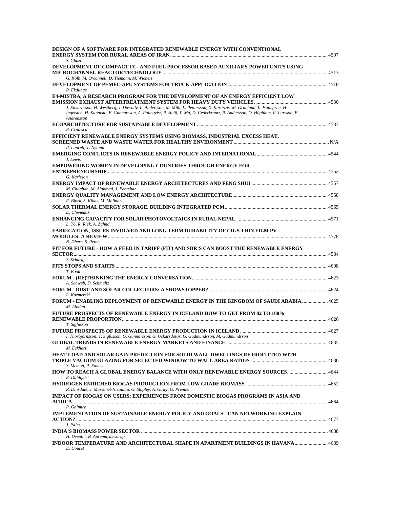| DESIGN OF A SOFTWARE FOR INTEGRATED RENEWABLE ENERGY WITH CONVENTIONAL                                                                                                                                                                                                 |  |
|------------------------------------------------------------------------------------------------------------------------------------------------------------------------------------------------------------------------------------------------------------------------|--|
| S. Ghazi<br>DEVELOPMENT OF COMPACT FC- AND FUEL PROCESSOR BASED AUXILIARY POWER UNITS USING                                                                                                                                                                            |  |
| G. Kolb, M. O'connell, D. Tiemann, M. Wichert                                                                                                                                                                                                                          |  |
| P. Ekdunge                                                                                                                                                                                                                                                             |  |
| <b>E4-MISTRA, A RESEARCH PROGRAM FOR THE DEVELOPMENT OF AN ENERGY EFFICIENT LOW</b>                                                                                                                                                                                    |  |
| J. Edvardsson, H. Westberg, J. Dawody, L. Andersson, M. Milh, L. Pettersson, X. Karatzas, M. Granlund, L. Holmgren, H.<br>Ingelsten, H. Kannisto, F. Gunnarsson, A. Palmqvist, R. Heijl, Y. Ma, D. Cederkrantz, R. Andersson, O. Högblom, P. Larsson, F.<br>Andreasson |  |
| R. Crutescu                                                                                                                                                                                                                                                            |  |
| EFFICIENT RENEWABLE ENERGY SYSTEMS USING BIOMASS, INDUSTRIAL EXCESS HEAT,<br>P. Laurell, T. Nylund                                                                                                                                                                     |  |
| J. Lewis                                                                                                                                                                                                                                                               |  |
| <b>EMPOWERING WOMEN IN DEVELOPING COUNTRIES THROUGH ENERGY FOR</b>                                                                                                                                                                                                     |  |
| G. Karlsson                                                                                                                                                                                                                                                            |  |
| M. Chaaban, M. Alahmad, J. Pentelute                                                                                                                                                                                                                                   |  |
| F. Bjork, S. Kilkis, M. Molinari                                                                                                                                                                                                                                       |  |
| D. Chwieduk                                                                                                                                                                                                                                                            |  |
| L. To, R. Riek, A. Zahnd<br><b>FABRICATION, ISSUES INVOLVED AND LONG TERM DURABILITY OF CIGS THIN FILM PV</b>                                                                                                                                                          |  |
| N. Dhere, S. Pethe                                                                                                                                                                                                                                                     |  |
| FIT FOR FUTURE - HOW A FEED IN TARIFF (FIT) AND SDR'S CAN BOOST THE RENEWABLE ENERGY                                                                                                                                                                                   |  |
| S. Schurig                                                                                                                                                                                                                                                             |  |
| T. Book                                                                                                                                                                                                                                                                |  |
| A. Schwab, D. Schmaltz                                                                                                                                                                                                                                                 |  |
| L. Kazmerski                                                                                                                                                                                                                                                           |  |
| FORUM - ENABLING DEPLOYMENT OF RENEWABLE ENERGY IN THE KINGDOM OF SAUDI ARABIA. 4625<br>M. Alodan                                                                                                                                                                      |  |
| <b>FUTURE PROSPECTS OF RENEWABLE ENERGY IN ICELAND HOW TO GET FROM 82 TO 100%</b>                                                                                                                                                                                      |  |
| T. Sigfusson                                                                                                                                                                                                                                                           |  |
| I. Thorbjornsson, T. Sigfusson, G. Gunnarsson, G. Oskarsdottir, G. Gudmundsson, M. Gudmundsson                                                                                                                                                                         |  |
| M. Eckhart                                                                                                                                                                                                                                                             |  |
| HEAT LOAD AND SOLAR GAIN PREDICTION FOR SOLID WALL DWELLINGS RETROFITTED WITH<br>S. Memon, P. Eames                                                                                                                                                                    |  |
| HOW TO REACH A GLOBAL ENERGY BALANCE WITH ONLY RENEWABLE ENERGY SOURCES 4644<br>E. Dahlquist                                                                                                                                                                           |  |
| R. Dinsdale, J. Massanet-Nicoulau, G. Shipley, A. Guwy, G. Premier                                                                                                                                                                                                     |  |
| IMPACT OF BIOGAS ON USERS: EXPERIENCES FROM DOMESTIC BIOGAS PROGRAMS IN ASIA AND                                                                                                                                                                                       |  |
| P. Ghimire<br>IMPLEMENTATION OF SUSTAINABLE ENERGY POLICY AND GOALS - CAN NETWORKING EXPLAIN                                                                                                                                                                           |  |
| J. Palm                                                                                                                                                                                                                                                                |  |
|                                                                                                                                                                                                                                                                        |  |
| H. Deepthi, B. Apremayaswarup<br>INDOOR TEMPERATURE AND ARCHITECTURAL SHAPE IN APARTMENT BUILDINGS IN HAVANA 4689                                                                                                                                                      |  |
| D. Couret                                                                                                                                                                                                                                                              |  |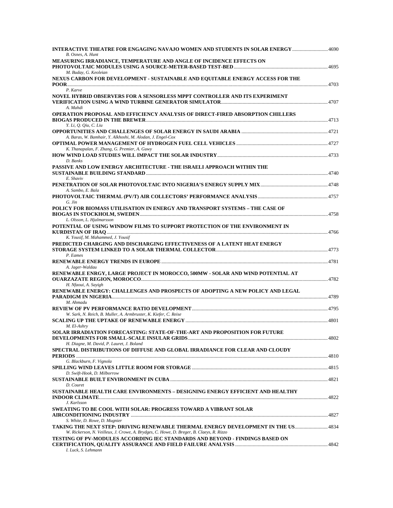| B. Osnes, A. Hunt                                                                                                                                                             |  |
|-------------------------------------------------------------------------------------------------------------------------------------------------------------------------------|--|
| MEASURING IRRADIANCE, TEMPERATURE AND ANGLE OF INCIDENCE EFFECTS ON                                                                                                           |  |
| M. Buday, G. Keoleian<br>NEXUS CARBON FOR DEVELOPMENT - SUSTAINABLE AND EQUITABLE ENERGY ACCESS FOR THE                                                                       |  |
| P. Karve<br>NOVEL HYBRID OBSERVERS FOR A SENSORLESS MPPT CONTROLLER AND ITS EXPERIMENT<br>A. Mahdi                                                                            |  |
| OPERATION PROPOSAL AND EFFICIENCY ANALYSIS OF DIRECT-FIRED ABSORPTION CHILLERS                                                                                                |  |
| Y. Li, Q. Qiu, C. Liu                                                                                                                                                         |  |
| A. Baras, W. Bamhair, Y. Alkhoshi, M. Alodan, J. Engel-Cox                                                                                                                    |  |
| K. Thanapalan, F. Zhang, G. Premier, A. Guwy                                                                                                                                  |  |
| D. Banks<br>PASSIVE AND LOW ENERGY ARCHITECTURE - THE ISRAELI APPROACH WITHIN THE                                                                                             |  |
| E. Shaviv                                                                                                                                                                     |  |
| A. Sambo, E. Bala<br>G. Jin                                                                                                                                                   |  |
| POLICY FOR BIOMASS UTILISATION IN ENERGY AND TRANSPORT SYSTEMS - THE CASE OF<br>L. Olsson, L. Hjalmarsson                                                                     |  |
| POTENTIAL OF USING WINDOW FILMS TO SUPPORT PROTECTION OF THE ENVIRONMENT IN                                                                                                   |  |
| K. Yousif, M. Mahammed, J. Yousif<br>PREDICTED CHARGING AND DISCHARGING EFFECTIVENESS OF A LATENT HEAT ENERGY                                                                 |  |
| P. Eames                                                                                                                                                                      |  |
| A. Jager-Waldau<br>RENEWABLE ENRGY, LARGE PROJECT IN MOROCCO, 500MW - SOLAR AND WIND POTENTIAL AT                                                                             |  |
| H. Nfaoui, A. Sayigh<br>RENEWABLE ENERGY: CHALLENGES AND PROSPECTS OF ADOPTING A NEW POLICY AND LEGAL                                                                         |  |
| M. Ahmadu                                                                                                                                                                     |  |
| W. Sark, N. Reich, B. Muller, A. Armbruster, K. Kiefer, C. Reise                                                                                                              |  |
| M. El-Ashry<br>SOLAR IRRADIATION FORECASTING: STATE-OF-THE-ART AND PROPOSITION FOR FUTURE                                                                                     |  |
| H. Diagne, M. David, P. Lauret, J. Boland<br>SPECTRAL DISTRIBUTIONS OF DIFFUSE AND GLOBAL IRRADIANCE FOR CLEAR AND CLOUDY                                                     |  |
| G. Blackburn, F. Vignola                                                                                                                                                      |  |
| D. Swift-Hook, D. Milborrow                                                                                                                                                   |  |
| D. Couret<br>SUSTAINABLE HEALTH CARE ENVIRONMENTS – DESIGNING ENERGY EFFICIENT AND HEALTHY<br>J. Karlsson                                                                     |  |
| <b>SWEATING TO BE COOL WITH SOLAR: PROGRESS TOWARD A VIBRANT SOLAR</b><br>S. White, D. Rowe, D. Mugnier                                                                       |  |
| TAKING THE NEXT STEP: DRIVING RENEWABLE THERMAL ENERGY DEVELOPMENT IN THE US 4834<br>W. Rickerson, N. Veilleux, J. Crowe, A. Brydges, C. Howe, D. Breger, B. Claeys, R. Rizzo |  |
| TESTING OF PV-MODULES ACCORDING IEC STANDARDS AND BEYOND - FINDINGS BASED ON<br>I. Luck, S. Lehmann                                                                           |  |